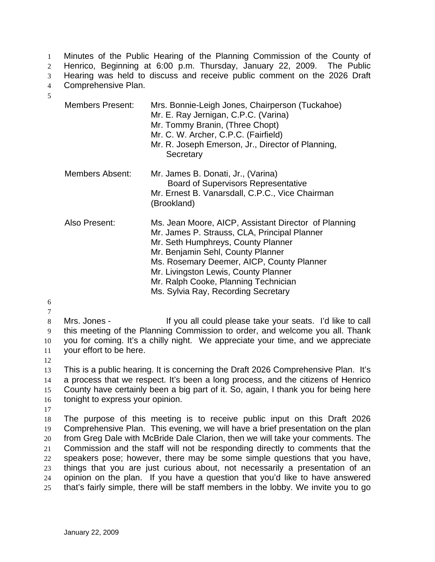Minutes of the Public Hearing of the Planning Commission of the County of Henrico, Beginning at 6:00 p.m. Thursday, January 22, 2009. The Public Hearing was held to discuss and receive public comment on the 2026 Draft Comprehensive Plan. 1  $\mathcal{L}$ 3 4

5

| <b>Members Present:</b> | Mrs. Bonnie-Leigh Jones, Chairperson (Tuckahoe)<br>Mr. E. Ray Jernigan, C.P.C. (Varina)<br>Mr. Tommy Branin, (Three Chopt)<br>Mr. C. W. Archer, C.P.C. (Fairfield)<br>Mr. R. Joseph Emerson, Jr., Director of Planning,<br>Secretary                                                                                                                |
|-------------------------|-----------------------------------------------------------------------------------------------------------------------------------------------------------------------------------------------------------------------------------------------------------------------------------------------------------------------------------------------------|
| <b>Members Absent:</b>  | Mr. James B. Donati, Jr., (Varina)<br><b>Board of Supervisors Representative</b><br>Mr. Ernest B. Vanarsdall, C.P.C., Vice Chairman<br>(Brookland)                                                                                                                                                                                                  |
| Also Present:           | Ms. Jean Moore, AICP, Assistant Director of Planning<br>Mr. James P. Strauss, CLA, Principal Planner<br>Mr. Seth Humphreys, County Planner<br>Mr. Benjamin Sehl, County Planner<br>Ms. Rosemary Deemer, AICP, County Planner<br>Mr. Livingston Lewis, County Planner<br>Mr. Ralph Cooke, Planning Technician<br>Ms. Sylvia Ray, Recording Secretary |

6

7

8 9 10 11 Mrs. Jones - The Mrs of If you all could please take your seats. I'd like to call this meeting of the Planning Commission to order, and welcome you all. Thank you for coming. It's a chilly night. We appreciate your time, and we appreciate your effort to be here.

12

13 14 15 16 This is a public hearing. It is concerning the Draft 2026 Comprehensive Plan. It's a process that we respect. It's been a long process, and the citizens of Henrico County have certainly been a big part of it. So, again, I thank you for being here tonight to express your opinion.

17

18 19 20 21 22 23 24 25 The purpose of this meeting is to receive public input on this Draft 2026 Comprehensive Plan. This evening, we will have a brief presentation on the plan from Greg Dale with McBride Dale Clarion, then we will take your comments. The Commission and the staff will not be responding directly to comments that the speakers pose; however, there may be some simple questions that you have, things that you are just curious about, not necessarily a presentation of an opinion on the plan. If you have a question that you'd like to have answered that's fairly simple, there will be staff members in the lobby. We invite you to go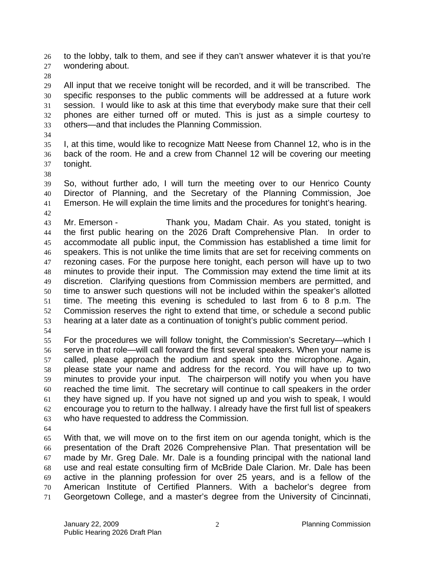to the lobby, talk to them, and see if they can't answer whatever it is that you're wondering about. 26 27

28

29 30 31 32 33 All input that we receive tonight will be recorded, and it will be transcribed. The specific responses to the public comments will be addressed at a future work session. I would like to ask at this time that everybody make sure that their cell phones are either turned off or muted. This is just as a simple courtesy to others—and that includes the Planning Commission.

34

35 36 37 I, at this time, would like to recognize Matt Neese from Channel 12, who is in the back of the room. He and a crew from Channel 12 will be covering our meeting tonight.

38

39 40 41 42 So, without further ado, I will turn the meeting over to our Henrico County Director of Planning, and the Secretary of the Planning Commission, Joe Emerson. He will explain the time limits and the procedures for tonight's hearing.

- 43 44 45 46 47 48 49 50 51 52 53 Mr. Emerson - Thank you, Madam Chair. As you stated, tonight is the first public hearing on the 2026 Draft Comprehensive Plan. In order to accommodate all public input, the Commission has established a time limit for speakers. This is not unlike the time limits that are set for receiving comments on rezoning cases. For the purpose here tonight, each person will have up to two minutes to provide their input. The Commission may extend the time limit at its discretion. Clarifying questions from Commission members are permitted, and time to answer such questions will not be included within the speaker's allotted time. The meeting this evening is scheduled to last from 6 to 8 p.m. The Commission reserves the right to extend that time, or schedule a second public hearing at a later date as a continuation of tonight's public comment period.
- 54

55 56 57 58 59 60 61 62 63 For the procedures we will follow tonight, the Commission's Secretary—which I serve in that role—will call forward the first several speakers. When your name is called, please approach the podium and speak into the microphone. Again, please state your name and address for the record. You will have up to two minutes to provide your input. The chairperson will notify you when you have reached the time limit. The secretary will continue to call speakers in the order they have signed up. If you have not signed up and you wish to speak, I would encourage you to return to the hallway. I already have the first full list of speakers who have requested to address the Commission.

64

65 66 67 68 69 70 71 With that, we will move on to the first item on our agenda tonight, which is the presentation of the Draft 2026 Comprehensive Plan. That presentation will be made by Mr. Greg Dale. Mr. Dale is a founding principal with the national land use and real estate consulting firm of McBride Dale Clarion. Mr. Dale has been active in the planning profession for over 25 years, and is a fellow of the American Institute of Certified Planners. With a bachelor's degree from Georgetown College, and a master's degree from the University of Cincinnati,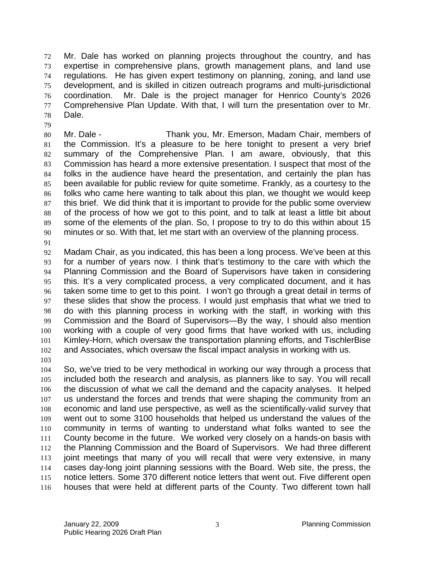Mr. Dale has worked on planning projects throughout the country, and has expertise in comprehensive plans, growth management plans, and land use regulations. He has given expert testimony on planning, zoning, and land use development, and is skilled in citizen outreach programs and multi-jurisdictional coordination. Mr. Dale is the project manager for Henrico County's 2026 Comprehensive Plan Update. With that, I will turn the presentation over to Mr. Dale. 72 73 74 75 76 77 78

80 81 82 83 84 85 86 87 88 89 90 Mr. Dale - Thank you, Mr. Emerson, Madam Chair, members of the Commission. It's a pleasure to be here tonight to present a very brief summary of the Comprehensive Plan. I am aware, obviously, that this Commission has heard a more extensive presentation. I suspect that most of the folks in the audience have heard the presentation, and certainly the plan has been available for public review for quite sometime. Frankly, as a courtesy to the folks who came here wanting to talk about this plan, we thought we would keep this brief. We did think that it is important to provide for the public some overview of the process of how we got to this point, and to talk at least a little bit about some of the elements of the plan. So, I propose to try to do this within about 15 minutes or so. With that, let me start with an overview of the planning process.

91

79

92 93 94 95 96 97 98 99 100 101 102 Madam Chair, as you indicated, this has been a long process. We've been at this for a number of years now. I think that's testimony to the care with which the Planning Commission and the Board of Supervisors have taken in considering this. It's a very complicated process, a very complicated document, and it has taken some time to get to this point. I won't go through a great detail in terms of these slides that show the process. I would just emphasis that what we tried to do with this planning process in working with the staff, in working with this Commission and the Board of Supervisors—By the way, I should also mention working with a couple of very good firms that have worked with us, including Kimley-Horn, which oversaw the transportation planning efforts, and TischlerBise and Associates, which oversaw the fiscal impact analysis in working with us.

103

104 105 106 107 108 109 110 111 112 113 114 115 116 So, we've tried to be very methodical in working our way through a process that included both the research and analysis, as planners like to say. You will recall the discussion of what we call the demand and the capacity analyses. It helped us understand the forces and trends that were shaping the community from an economic and land use perspective, as well as the scientifically-valid survey that went out to some 3100 households that helped us understand the values of the community in terms of wanting to understand what folks wanted to see the County become in the future. We worked very closely on a hands-on basis with the Planning Commission and the Board of Supervisors. We had three different joint meetings that many of you will recall that were very extensive, in many cases day-long joint planning sessions with the Board. Web site, the press, the notice letters. Some 370 different notice letters that went out. Five different open houses that were held at different parts of the County. Two different town hall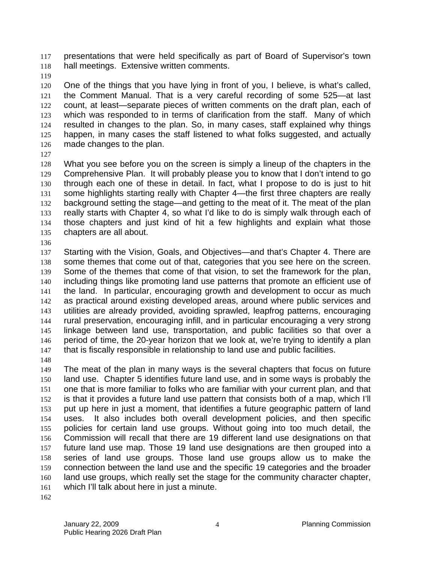presentations that were held specifically as part of Board of Supervisor's town hall meetings. Extensive written comments. 117 118

119

120 121 122 123 124 125 126 One of the things that you have lying in front of you, I believe, is what's called, the Comment Manual. That is a very careful recording of some 525—at last count, at least—separate pieces of written comments on the draft plan, each of which was responded to in terms of clarification from the staff. Many of which resulted in changes to the plan. So, in many cases, staff explained why things happen, in many cases the staff listened to what folks suggested, and actually made changes to the plan.

127

128 129 130 131 132 133 134 135 What you see before you on the screen is simply a lineup of the chapters in the Comprehensive Plan. It will probably please you to know that I don't intend to go through each one of these in detail. In fact, what I propose to do is just to hit some highlights starting really with Chapter 4—the first three chapters are really background setting the stage—and getting to the meat of it. The meat of the plan really starts with Chapter 4, so what I'd like to do is simply walk through each of those chapters and just kind of hit a few highlights and explain what those chapters are all about.

136

137 138 139 140 141 142 143 144 145 146 147 Starting with the Vision, Goals, and Objectives—and that's Chapter 4. There are some themes that come out of that, categories that you see here on the screen. Some of the themes that come of that vision, to set the framework for the plan, including things like promoting land use patterns that promote an efficient use of the land. In particular, encouraging growth and development to occur as much as practical around existing developed areas, around where public services and utilities are already provided, avoiding sprawled, leapfrog patterns, encouraging rural preservation, encouraging infill, and in particular encouraging a very strong linkage between land use, transportation, and public facilities so that over a period of time, the 20-year horizon that we look at, we're trying to identify a plan that is fiscally responsible in relationship to land use and public facilities.

148

149 150 151 152 153 154 155 156 157 158 159 160 161 The meat of the plan in many ways is the several chapters that focus on future land use. Chapter 5 identifies future land use, and in some ways is probably the one that is more familiar to folks who are familiar with your current plan, and that is that it provides a future land use pattern that consists both of a map, which I'll put up here in just a moment, that identifies a future geographic pattern of land uses. It also includes both overall development policies, and then specific policies for certain land use groups. Without going into too much detail, the Commission will recall that there are 19 different land use designations on that future land use map. Those 19 land use designations are then grouped into a series of land use groups. Those land use groups allow us to make the connection between the land use and the specific 19 categories and the broader land use groups, which really set the stage for the community character chapter, which I'll talk about here in just a minute.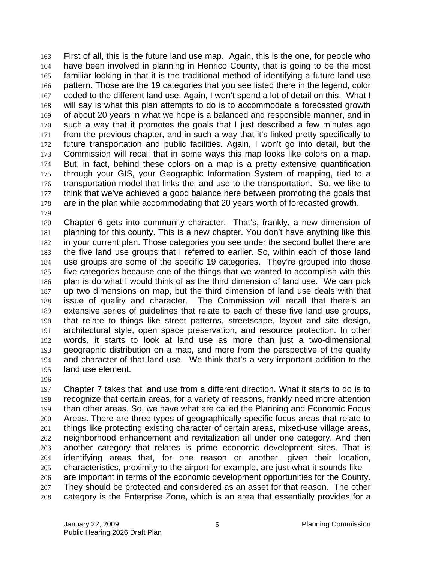First of all, this is the future land use map. Again, this is the one, for people who have been involved in planning in Henrico County, that is going to be the most familiar looking in that it is the traditional method of identifying a future land use pattern. Those are the 19 categories that you see listed there in the legend, color coded to the different land use. Again, I won't spend a lot of detail on this. What I will say is what this plan attempts to do is to accommodate a forecasted growth of about 20 years in what we hope is a balanced and responsible manner, and in such a way that it promotes the goals that I just described a few minutes ago from the previous chapter, and in such a way that it's linked pretty specifically to future transportation and public facilities. Again, I won't go into detail, but the Commission will recall that in some ways this map looks like colors on a map. But, in fact, behind these colors on a map is a pretty extensive quantification through your GIS, your Geographic Information System of mapping, tied to a transportation model that links the land use to the transportation. So, we like to think that we've achieved a good balance here between promoting the goals that are in the plan while accommodating that 20 years worth of forecasted growth. 163 164 165 166 167 168 169 170 171 172 173 174 175 176 177 178

179

180 181 182 183 184 185 186 187 188 189 190 191 192 193 194 195 Chapter 6 gets into community character. That's, frankly, a new dimension of planning for this county. This is a new chapter. You don't have anything like this in your current plan. Those categories you see under the second bullet there are the five land use groups that I referred to earlier. So, within each of those land use groups are some of the specific 19 categories. They're grouped into those five categories because one of the things that we wanted to accomplish with this plan is do what I would think of as the third dimension of land use. We can pick up two dimensions on map, but the third dimension of land use deals with that issue of quality and character. The Commission will recall that there's an extensive series of guidelines that relate to each of these five land use groups, that relate to things like street patterns, streetscape, layout and site design, architectural style, open space preservation, and resource protection. In other words, it starts to look at land use as more than just a two-dimensional geographic distribution on a map, and more from the perspective of the quality and character of that land use. We think that's a very important addition to the land use element.

196

197 198 199 200 201 202 203 204 205 206 207 208 Chapter 7 takes that land use from a different direction. What it starts to do is to recognize that certain areas, for a variety of reasons, frankly need more attention than other areas. So, we have what are called the Planning and Economic Focus Areas. There are three types of geographically-specific focus areas that relate to things like protecting existing character of certain areas, mixed-use village areas, neighborhood enhancement and revitalization all under one category. And then another category that relates is prime economic development sites. That is identifying areas that, for one reason or another, given their location, characteristics, proximity to the airport for example, are just what it sounds like are important in terms of the economic development opportunities for the County. They should be protected and considered as an asset for that reason. The other category is the Enterprise Zone, which is an area that essentially provides for a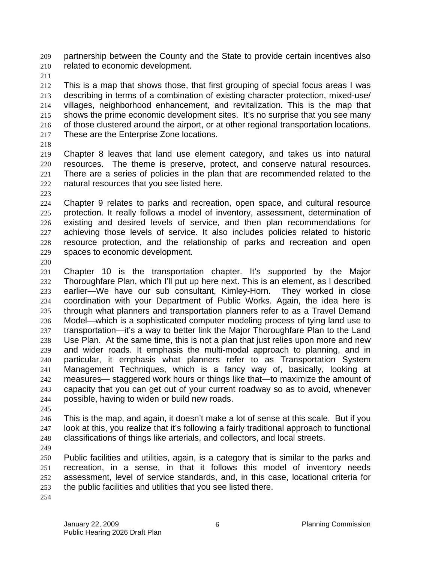partnership between the County and the State to provide certain incentives also related to economic development. 209 210

211

212 213 214 215 216 217 This is a map that shows those, that first grouping of special focus areas I was describing in terms of a combination of existing character protection, mixed-use/ villages, neighborhood enhancement, and revitalization. This is the map that shows the prime economic development sites. It's no surprise that you see many of those clustered around the airport, or at other regional transportation locations. These are the Enterprise Zone locations.

218

219 220 221 222 Chapter 8 leaves that land use element category, and takes us into natural resources. The theme is preserve, protect, and conserve natural resources. There are a series of policies in the plan that are recommended related to the natural resources that you see listed here.

223

224 225 226 227 228 229 Chapter 9 relates to parks and recreation, open space, and cultural resource protection. It really follows a model of inventory, assessment, determination of existing and desired levels of service, and then plan recommendations for achieving those levels of service. It also includes policies related to historic resource protection, and the relationship of parks and recreation and open spaces to economic development.

230

231 232 233 234 235 236 237 238 239 240 241 242 243 244 Chapter 10 is the transportation chapter. It's supported by the Major Thoroughfare Plan, which I'll put up here next. This is an element, as I described earlier—We have our sub consultant, Kimley-Horn. They worked in close coordination with your Department of Public Works. Again, the idea here is through what planners and transportation planners refer to as a Travel Demand Model—which is a sophisticated computer modeling process of tying land use to transportation—it's a way to better link the Major Thoroughfare Plan to the Land Use Plan. At the same time, this is not a plan that just relies upon more and new and wider roads. It emphasis the multi-modal approach to planning, and in particular, it emphasis what planners refer to as Transportation System Management Techniques, which is a fancy way of, basically, looking at measures— staggered work hours or things like that—to maximize the amount of capacity that you can get out of your current roadway so as to avoid, whenever possible, having to widen or build new roads.

245

246 247 248 This is the map, and again, it doesn't make a lot of sense at this scale. But if you look at this, you realize that it's following a fairly traditional approach to functional classifications of things like arterials, and collectors, and local streets.

249

250 251 252 253 Public facilities and utilities, again, is a category that is similar to the parks and recreation, in a sense, in that it follows this model of inventory needs assessment, level of service standards, and, in this case, locational criteria for the public facilities and utilities that you see listed there.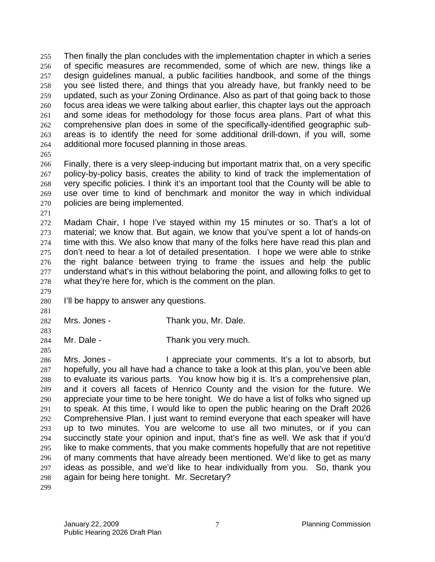Then finally the plan concludes with the implementation chapter in which a series of specific measures are recommended, some of which are new, things like a design guidelines manual, a public facilities handbook, and some of the things you see listed there, and things that you already have, but frankly need to be updated, such as your Zoning Ordinance. Also as part of that going back to those focus area ideas we were talking about earlier, this chapter lays out the approach and some ideas for methodology for those focus area plans. Part of what this comprehensive plan does in some of the specifically-identified geographic subareas is to identify the need for some additional drill-down, if you will, some additional more focused planning in those areas. 255 256 257 258 259 260 261 262 263 264

265

266 267 268 269 270 Finally, there is a very sleep-inducing but important matrix that, on a very specific policy-by-policy basis, creates the ability to kind of track the implementation of very specific policies. I think it's an important tool that the County will be able to use over time to kind of benchmark and monitor the way in which individual policies are being implemented.

271

272 273 274 275 276 277 278 Madam Chair, I hope I've stayed within my 15 minutes or so. That's a lot of material; we know that. But again, we know that you've spent a lot of hands-on time with this. We also know that many of the folks here have read this plan and don't need to hear a lot of detailed presentation. I hope we were able to strike the right balance between trying to frame the issues and help the public understand what's in this without belaboring the point, and allowing folks to get to what they're here for, which is the comment on the plan.

279

281

283

285

280 I'll be happy to answer any questions.

- 282 Mrs. Jones - Thank you, Mr. Dale.
- 284 Mr. Dale - Thank you very much.

286 287 288 289 290 291 292 293 294 295 296 297 298 Mrs. Jones - I appreciate your comments. It's a lot to absorb, but hopefully, you all have had a chance to take a look at this plan, you've been able to evaluate its various parts. You know how big it is. It's a comprehensive plan, and it covers all facets of Henrico County and the vision for the future. We appreciate your time to be here tonight. We do have a list of folks who signed up to speak. At this time, I would like to open the public hearing on the Draft 2026 Comprehensive Plan. I just want to remind everyone that each speaker will have up to two minutes. You are welcome to use all two minutes, or if you can succinctly state your opinion and input, that's fine as well. We ask that if you'd like to make comments, that you make comments hopefully that are not repetitive of many comments that have already been mentioned. We'd like to get as many ideas as possible, and we'd like to hear individually from you. So, thank you again for being here tonight. Mr. Secretary?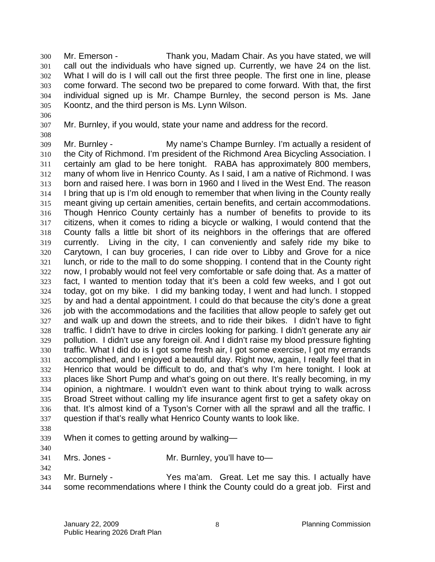Mr. Emerson - Thank you, Madam Chair. As you have stated, we will call out the individuals who have signed up. Currently, we have 24 on the list. What I will do is I will call out the first three people. The first one in line, please come forward. The second two be prepared to come forward. With that, the first individual signed up is Mr. Champe Burnley, the second person is Ms. Jane Koontz, and the third person is Ms. Lynn Wilson. 300 301 302 303 304 305

306 307

Mr. Burnley, if you would, state your name and address for the record.

308

309 310 311 312 313 314 315 316 317 318 319 320 321 322 323 324 325 326 327 328 329 330 331 332 333 334 335 336 337 Mr. Burnley - The My name's Champe Burnley. I'm actually a resident of the City of Richmond. I'm president of the Richmond Area Bicycling Association. I certainly am glad to be here tonight. RABA has approximately 800 members, many of whom live in Henrico County. As I said, I am a native of Richmond. I was born and raised here. I was born in 1960 and I lived in the West End. The reason I bring that up is I'm old enough to remember that when living in the County really meant giving up certain amenities, certain benefits, and certain accommodations. Though Henrico County certainly has a number of benefits to provide to its citizens, when it comes to riding a bicycle or walking, I would contend that the County falls a little bit short of its neighbors in the offerings that are offered currently. Living in the city, I can conveniently and safely ride my bike to Carytown, I can buy groceries, I can ride over to Libby and Grove for a nice lunch, or ride to the mall to do some shopping. I contend that in the County right now, I probably would not feel very comfortable or safe doing that. As a matter of fact, I wanted to mention today that it's been a cold few weeks, and I got out today, got on my bike. I did my banking today, I went and had lunch. I stopped by and had a dental appointment. I could do that because the city's done a great job with the accommodations and the facilities that allow people to safely get out and walk up and down the streets, and to ride their bikes. I didn't have to fight traffic. I didn't have to drive in circles looking for parking. I didn't generate any air pollution. I didn't use any foreign oil. And I didn't raise my blood pressure fighting traffic. What I did do is I got some fresh air, I got some exercise, I got my errands accomplished, and I enjoyed a beautiful day. Right now, again, I really feel that in Henrico that would be difficult to do, and that's why I'm here tonight. I look at places like Short Pump and what's going on out there. It's really becoming, in my opinion, a nightmare. I wouldn't even want to think about trying to walk across Broad Street without calling my life insurance agent first to get a safety okay on that. It's almost kind of a Tyson's Corner with all the sprawl and all the traffic. I question if that's really what Henrico County wants to look like.

- 338
- 339 When it comes to getting around by walking—
- 340

342

341 Mrs. Jones - Mr. Burnley, you'll have to

343 344 Mr. Burnely - The State Yes ma'am. Great. Let me say this. I actually have some recommendations where I think the County could do a great job. First and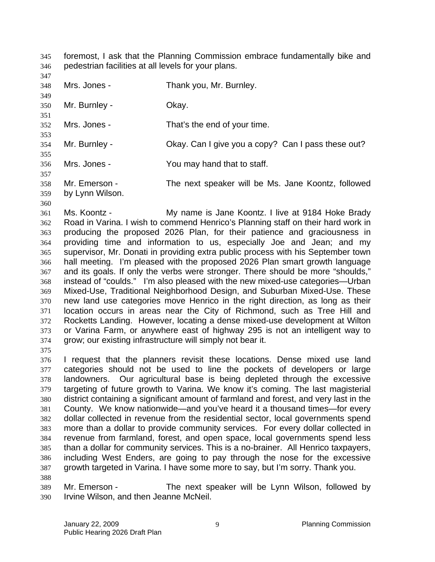foremost, I ask that the Planning Commission embrace fundamentally bike and pedestrian facilities at all levels for your plans. 345 346

347 348

353

Mrs. Jones - Thank you, Mr. Burnley.

349 350 Mr. Burnley - Ckay.

351 352 Mrs. Jones - That's the end of your time.

354 Mr. Burnley - Ckay. Can I give you a copy? Can I pass these out?

355 356 Mrs. Jones - You may hand that to staff.

357 358 359 Mr. Emerson - The next speaker will be Ms. Jane Koontz, followed by Lynn Wilson.

360

361 362 363 364 365 366 367 368 369 370 371 372 373 374 Ms. Koontz - My name is Jane Koontz. I live at 9184 Hoke Brady Road in Varina. I wish to commend Henrico's Planning staff on their hard work in producing the proposed 2026 Plan, for their patience and graciousness in providing time and information to us, especially Joe and Jean; and my supervisor, Mr. Donati in providing extra public process with his September town hall meeting. I'm pleased with the proposed 2026 Plan smart growth language and its goals. If only the verbs were stronger. There should be more "shoulds," instead of "coulds." I'm also pleased with the new mixed-use categories—Urban Mixed-Use, Traditional Neighborhood Design, and Suburban Mixed-Use. These new land use categories move Henrico in the right direction, as long as their location occurs in areas near the City of Richmond, such as Tree Hill and Rocketts Landing. However, locating a dense mixed-use development at Wilton or Varina Farm, or anywhere east of highway 295 is not an intelligent way to grow; our existing infrastructure will simply not bear it.

375

376 377 378 379 380 381 382 383 384 385 386 387 I request that the planners revisit these locations. Dense mixed use land categories should not be used to line the pockets of developers or large landowners. Our agricultural base is being depleted through the excessive targeting of future growth to Varina. We know it's coming. The last magisterial district containing a significant amount of farmland and forest, and very last in the County. We know nationwide—and you've heard it a thousand times—for every dollar collected in revenue from the residential sector, local governments spend more than a dollar to provide community services. For every dollar collected in revenue from farmland, forest, and open space, local governments spend less than a dollar for community services. This is a no-brainer. All Henrico taxpayers, including West Enders, are going to pay through the nose for the excessive growth targeted in Varina. I have some more to say, but I'm sorry. Thank you.

388

389 390 Mr. Emerson - The next speaker will be Lynn Wilson, followed by Irvine Wilson, and then Jeanne McNeil.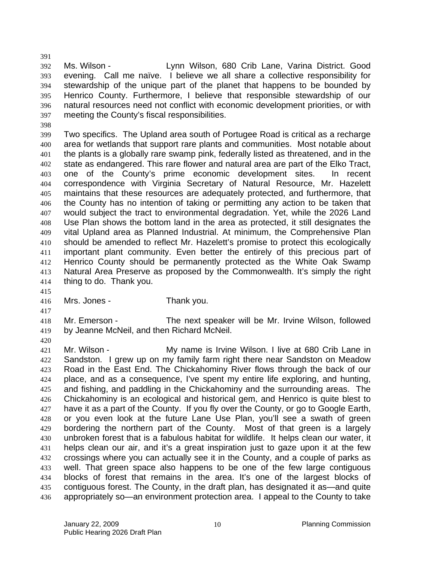392 393 394 395 396 397 Ms. Wilson - Lynn Wilson, 680 Crib Lane, Varina District. Good evening. Call me naïve. I believe we all share a collective responsibility for stewardship of the unique part of the planet that happens to be bounded by Henrico County. Furthermore, I believe that responsible stewardship of our natural resources need not conflict with economic development priorities, or with meeting the County's fiscal responsibilities.

398

391

399 400 401 402 403 404 405 406 407 408 409 410 411 412 413 414 Two specifics. The Upland area south of Portugee Road is critical as a recharge area for wetlands that support rare plants and communities. Most notable about the plants is a globally rare swamp pink, federally listed as threatened, and in the state as endangered. This rare flower and natural area are part of the Elko Tract, one of the County's prime economic development sites. In recent correspondence with Virginia Secretary of Natural Resource, Mr. Hazelett maintains that these resources are adequately protected, and furthermore, that the County has no intention of taking or permitting any action to be taken that would subject the tract to environmental degradation. Yet, while the 2026 Land Use Plan shows the bottom land in the area as protected, it still designates the vital Upland area as Planned Industrial. At minimum, the Comprehensive Plan should be amended to reflect Mr. Hazelett's promise to protect this ecologically important plant community. Even better the entirely of this precious part of Henrico County should be permanently protected as the White Oak Swamp Natural Area Preserve as proposed by the Commonwealth. It's simply the right thing to do. Thank you.

415

417

420

416 Mrs. Jones - Thank you.

418 419 Mr. Emerson - The next speaker will be Mr. Irvine Wilson, followed by Jeanne McNeil, and then Richard McNeil.

421 422 423 424 425 426 427 428 429 430 431 432 433 434 435 436 Mr. Wilson - My name is Irvine Wilson. I live at 680 Crib Lane in Sandston. I grew up on my family farm right there near Sandston on Meadow Road in the East End. The Chickahominy River flows through the back of our place, and as a consequence, I've spent my entire life exploring, and hunting, and fishing, and paddling in the Chickahominy and the surrounding areas. The Chickahominy is an ecological and historical gem, and Henrico is quite blest to have it as a part of the County. If you fly over the County, or go to Google Earth, or you even look at the future Lane Use Plan, you'll see a swath of green bordering the northern part of the County. Most of that green is a largely unbroken forest that is a fabulous habitat for wildlife. It helps clean our water, it helps clean our air, and it's a great inspiration just to gaze upon it at the few crossings where you can actually see it in the County, and a couple of parks as well. That green space also happens to be one of the few large contiguous blocks of forest that remains in the area. It's one of the largest blocks of contiguous forest. The County, in the draft plan, has designated it as—and quite appropriately so—an environment protection area. I appeal to the County to take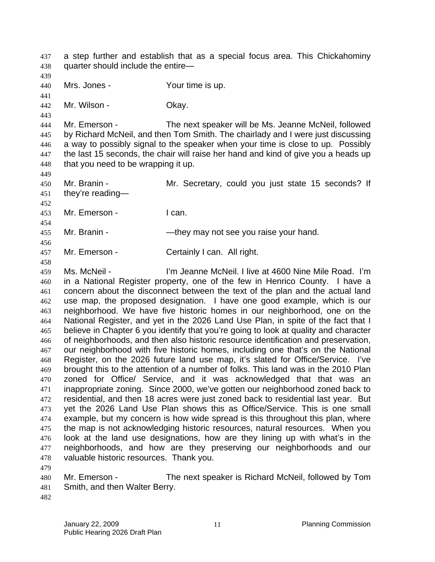a step further and establish that as a special focus area. This Chickahominy quarter should include the entire— 437 438 439 440 441 442 443 444 445 446 447 448 449 450 451 452 453 454 455 456 457 458 459 460 461 462 463 464 465 466 467 468 469 470 471 472 473 474 475 476 477 478 479 480 Mrs. Jones - Your time is up. Mr. Wilson - Chay. Mr. Emerson - The next speaker will be Ms. Jeanne McNeil, followed by Richard McNeil, and then Tom Smith. The chairlady and I were just discussing a way to possibly signal to the speaker when your time is close to up. Possibly the last 15 seconds, the chair will raise her hand and kind of give you a heads up that you need to be wrapping it up. Mr. Branin - The Mr. Secretary, could you just state 15 seconds? If they're reading— Mr. Emerson - I can. Mr. Branin - They may not see you raise your hand. Mr. Emerson - Certainly I can. All right. Ms. McNeil - I'm Jeanne McNeil. I live at 4600 Nine Mile Road. I'm in a National Register property, one of the few in Henrico County. I have a concern about the disconnect between the text of the plan and the actual land use map, the proposed designation. I have one good example, which is our neighborhood. We have five historic homes in our neighborhood, one on the National Register, and yet in the 2026 Land Use Plan, in spite of the fact that I believe in Chapter 6 you identify that you're going to look at quality and character of neighborhoods, and then also historic resource identification and preservation, our neighborhood with five historic homes, including one that's on the National Register, on the 2026 future land use map, it's slated for Office/Service. I've brought this to the attention of a number of folks. This land was in the 2010 Plan zoned for Office/ Service, and it was acknowledged that that was an inappropriate zoning. Since 2000, we've gotten our neighborhood zoned back to residential, and then 18 acres were just zoned back to residential last year. But yet the 2026 Land Use Plan shows this as Office/Service. This is one small example, but my concern is how wide spread is this throughout this plan, where the map is not acknowledging historic resources, natural resources. When you look at the land use designations, how are they lining up with what's in the neighborhoods, and how are they preserving our neighborhoods and our valuable historic resources. Thank you. Mr. Emerson - The next speaker is Richard McNeil, followed by Tom

481 Smith, and then Walter Berry.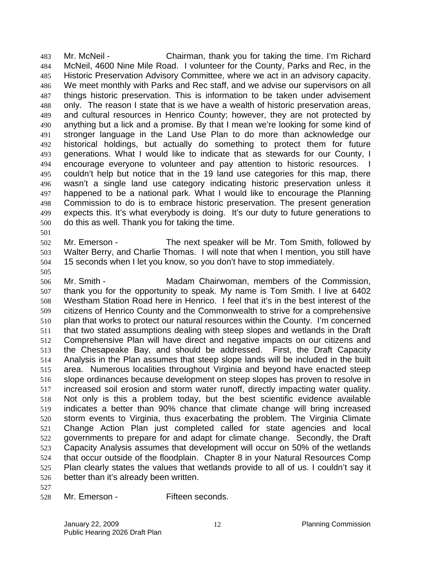Mr. McNeil - Chairman, thank you for taking the time. I'm Richard McNeil, 4600 Nine Mile Road. I volunteer for the County, Parks and Rec, in the Historic Preservation Advisory Committee, where we act in an advisory capacity. We meet monthly with Parks and Rec staff, and we advise our supervisors on all things historic preservation. This is information to be taken under advisement only. The reason I state that is we have a wealth of historic preservation areas, and cultural resources in Henrico County; however, they are not protected by anything but a lick and a promise. By that I mean we're looking for some kind of stronger language in the Land Use Plan to do more than acknowledge our historical holdings, but actually do something to protect them for future generations. What I would like to indicate that as stewards for our County, I encourage everyone to volunteer and pay attention to historic resources. I couldn't help but notice that in the 19 land use categories for this map, there wasn't a single land use category indicating historic preservation unless it happened to be a national park. What I would like to encourage the Planning Commission to do is to embrace historic preservation. The present generation expects this. It's what everybody is doing. It's our duty to future generations to do this as well. Thank you for taking the time. 483 484 485 486 487 488 489 490 491 492 493 494 495 496 497 498 499 500

502 503 504 Mr. Emerson - The next speaker will be Mr. Tom Smith, followed by Walter Berry, and Charlie Thomas. I will note that when I mention, you still have 15 seconds when I let you know, so you don't have to stop immediately.

- 506 507 508 509 510 511 512 513 514 515 516 517 518 519 520 521 522 523 524 525 526 Mr. Smith - The Madam Chairwoman, members of the Commission, thank you for the opportunity to speak. My name is Tom Smith. I live at 6402 Westham Station Road here in Henrico. I feel that it's in the best interest of the citizens of Henrico County and the Commonwealth to strive for a comprehensive plan that works to protect our natural resources within the County. I'm concerned that two stated assumptions dealing with steep slopes and wetlands in the Draft Comprehensive Plan will have direct and negative impacts on our citizens and the Chesapeake Bay, and should be addressed. First, the Draft Capacity Analysis in the Plan assumes that steep slope lands will be included in the built area. Numerous localities throughout Virginia and beyond have enacted steep slope ordinances because development on steep slopes has proven to resolve in increased soil erosion and storm water runoff, directly impacting water quality. Not only is this a problem today, but the best scientific evidence available indicates a better than 90% chance that climate change will bring increased storm events to Virginia, thus exacerbating the problem. The Virginia Climate Change Action Plan just completed called for state agencies and local governments to prepare for and adapt for climate change. Secondly, the Draft Capacity Analysis assumes that development will occur on 50% of the wetlands that occur outside of the floodplain. Chapter 8 in your Natural Resources Comp Plan clearly states the values that wetlands provide to all of us. I couldn't say it better than it's already been written.
- 527

501

505

528 Mr. Emerson - Fifteen seconds.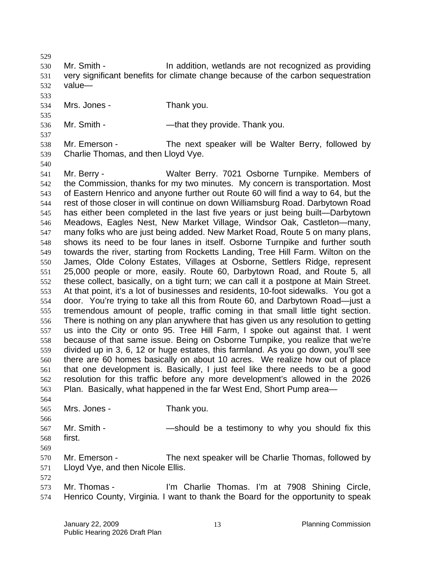- 529
- 530 531 532 Mr. Smith - In addition, wetlands are not recognized as providing very significant benefits for climate change because of the carbon sequestration value—
- 533
- 534 535

537

540

572

Mrs. Jones - Thank you.

536 Mr. Smith - — — — — that they provide. Thank you.

- 538 539 Mr. Emerson - The next speaker will be Walter Berry, followed by Charlie Thomas, and then Lloyd Vye.
- 541 542 543 544 545 546 547 548 549 550 551 552 553 554 555 556 557 558 559 560 561 562 563 Mr. Berry - Walter Berry. 7021 Osborne Turnpike. Members of the Commission, thanks for my two minutes. My concern is transportation. Most of Eastern Henrico and anyone further out Route 60 will find a way to 64, but the rest of those closer in will continue on down Williamsburg Road. Darbytown Road has either been completed in the last five years or just being built—Darbytown Meadows, Eagles Nest, New Market Village, Windsor Oak, Castleton—many, many folks who are just being added. New Market Road, Route 5 on many plans, shows its need to be four lanes in itself. Osborne Turnpike and further south towards the river, starting from Rocketts Landing, Tree Hill Farm. Wilton on the James, Olde Colony Estates, Villages at Osborne, Settlers Ridge, represent 25,000 people or more, easily. Route 60, Darbytown Road, and Route 5, all these collect, basically, on a tight turn; we can call it a postpone at Main Street. At that point, it's a lot of businesses and residents, 10-foot sidewalks. You got a door. You're trying to take all this from Route 60, and Darbytown Road—just a tremendous amount of people, traffic coming in that small little tight section. There is nothing on any plan anywhere that has given us any resolution to getting us into the City or onto 95. Tree Hill Farm, I spoke out against that. I went because of that same issue. Being on Osborne Turnpike, you realize that we're divided up in 3, 6, 12 or huge estates, this farmland. As you go down, you'll see there are 60 homes basically on about 10 acres. We realize how out of place that one development is. Basically, I just feel like there needs to be a good resolution for this traffic before any more development's allowed in the 2026 Plan. Basically, what happened in the far West End, Short Pump area—
- 564 565 566 567 568 569 Mrs. Jones - Thank you. Mr. Smith - The Should be a testimony to why you should fix this first.
- 570 571 Mr. Emerson - The next speaker will be Charlie Thomas, followed by Lloyd Vye, and then Nicole Ellis.
- 573 574 Mr. Thomas - I'm Charlie Thomas. I'm at 7908 Shining Circle, Henrico County, Virginia. I want to thank the Board for the opportunity to speak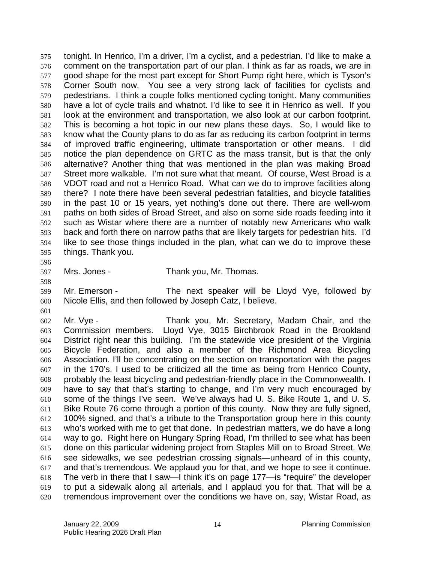tonight. In Henrico, I'm a driver, I'm a cyclist, and a pedestrian. I'd like to make a comment on the transportation part of our plan. I think as far as roads, we are in good shape for the most part except for Short Pump right here, which is Tyson's Corner South now. You see a very strong lack of facilities for cyclists and pedestrians. I think a couple folks mentioned cycling tonight. Many communities have a lot of cycle trails and whatnot. I'd like to see it in Henrico as well. If you look at the environment and transportation, we also look at our carbon footprint. This is becoming a hot topic in our new plans these days. So, I would like to know what the County plans to do as far as reducing its carbon footprint in terms of improved traffic engineering, ultimate transportation or other means. I did notice the plan dependence on GRTC as the mass transit, but is that the only alternative? Another thing that was mentioned in the plan was making Broad Street more walkable. I'm not sure what that meant. Of course, West Broad is a VDOT road and not a Henrico Road. What can we do to improve facilities along there? I note there have been several pedestrian fatalities, and bicycle fatalities in the past 10 or 15 years, yet nothing's done out there. There are well-worn paths on both sides of Broad Street, and also on some side roads feeding into it such as Wistar where there are a number of notably new Americans who walk back and forth there on narrow paths that are likely targets for pedestrian hits. I'd like to see those things included in the plan, what can we do to improve these things. Thank you. 575 576 577 578 579 580 581 582 583 584 585 586 587 588 589 590 591 592 593 594 595

596

598

- 597
- Mrs. Jones Thank you, Mr. Thomas.
- 599 600 Mr. Emerson - The next speaker will be Lloyd Vye, followed by Nicole Ellis, and then followed by Joseph Catz, I believe.
- 601

602 603 604 605 606 607 608 609 610 611 612 613 614 615 616 617 618 619 620 Mr. Vye - Thank you, Mr. Secretary, Madam Chair, and the Commission members. Lloyd Vye, 3015 Birchbrook Road in the Brookland District right near this building. I'm the statewide vice president of the Virginia Bicycle Federation, and also a member of the Richmond Area Bicycling Association. I'll be concentrating on the section on transportation with the pages in the 170's. I used to be criticized all the time as being from Henrico County, probably the least bicycling and pedestrian-friendly place in the Commonwealth. I have to say that that's starting to change, and I'm very much encouraged by some of the things I've seen. We've always had U. S. Bike Route 1, and U. S. Bike Route 76 come through a portion of this county. Now they are fully signed, 100% signed, and that's a tribute to the Transportation group here in this county who's worked with me to get that done. In pedestrian matters, we do have a long way to go. Right here on Hungary Spring Road, I'm thrilled to see what has been done on this particular widening project from Staples Mill on to Broad Street. We see sidewalks, we see pedestrian crossing signals—unheard of in this county, and that's tremendous. We applaud you for that, and we hope to see it continue. The verb in there that I saw—I think it's on page 177—is "require" the developer to put a sidewalk along all arterials, and I applaud you for that. That will be a tremendous improvement over the conditions we have on, say, Wistar Road, as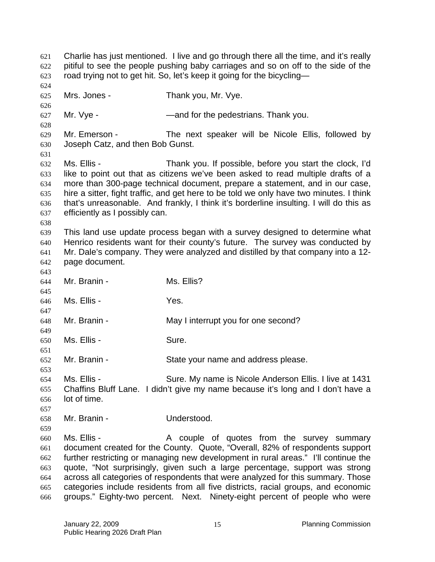Charlie has just mentioned. I live and go through there all the time, and it's really pitiful to see the people pushing baby carriages and so on off to the side of the road trying not to get hit. So, let's keep it going for the bicycling— 621 622 623 624 625 626 627 628 629 630 631 632 633 634 635 636 637 638 639 640 641 642 643 644 645 646 647 648 649 650 651 652 653 654 655 656 657 658 659 660 661 662 663 664 665 666 Mrs. Jones - Thank you, Mr. Vye. Mr. Vye - The South Common and for the pedestrians. Thank you. Mr. Emerson - The next speaker will be Nicole Ellis, followed by Joseph Catz, and then Bob Gunst. Ms. Ellis - Thank you. If possible, before you start the clock, I'd like to point out that as citizens we've been asked to read multiple drafts of a more than 300-page technical document, prepare a statement, and in our case, hire a sitter, fight traffic, and get here to be told we only have two minutes. I think that's unreasonable. And frankly, I think it's borderline insulting. I will do this as efficiently as I possibly can. This land use update process began with a survey designed to determine what Henrico residents want for their county's future. The survey was conducted by Mr. Dale's company. They were analyzed and distilled by that company into a 12 page document. Mr. Branin - Ms. Ellis? Ms. Ellis - The Mes. Mr. Branin - May I interrupt you for one second? Ms. Ellis - Sure. Mr. Branin - State your name and address please. Ms. Ellis - Sure. My name is Nicole Anderson Ellis. I live at 1431 Chaffins Bluff Lane. I didn't give my name because it's long and I don't have a lot of time. Mr. Branin - **Understood.** Ms. Ellis - The A couple of quotes from the survey summary document created for the County. Quote, "Overall, 82% of respondents support further restricting or managing new development in rural areas." I'll continue the quote, "Not surprisingly, given such a large percentage, support was strong across all categories of respondents that were analyzed for this summary. Those categories include residents from all five districts, racial groups, and economic groups." Eighty-two percent. Next. Ninety-eight percent of people who were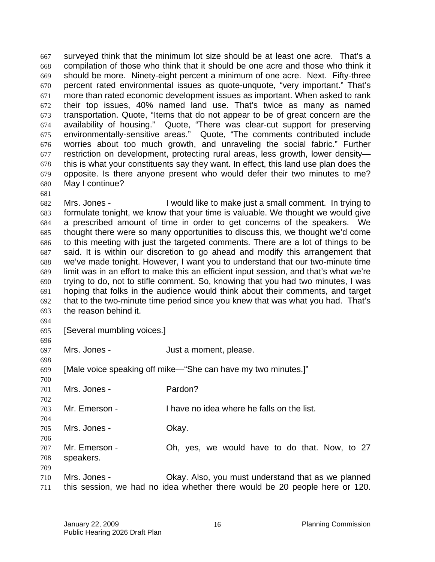surveyed think that the minimum lot size should be at least one acre. That's a compilation of those who think that it should be one acre and those who think it should be more. Ninety-eight percent a minimum of one acre. Next. Fifty-three percent rated environmental issues as quote-unquote, "very important." That's more than rated economic development issues as important. When asked to rank their top issues, 40% named land use. That's twice as many as named transportation. Quote, "Items that do not appear to be of great concern are the availability of housing." Quote, "There was clear-cut support for preserving environmentally-sensitive areas." Quote, "The comments contributed include worries about too much growth, and unraveling the social fabric." Further restriction on development, protecting rural areas, less growth, lower density this is what your constituents say they want. In effect, this land use plan does the opposite. Is there anyone present who would defer their two minutes to me? May I continue? 667 668 669 670 671 672 673 674 675 676 677 678 679 680

682 683 684 685 686 687 688 689 690 691 692 693 Mrs. Jones - I would like to make just a small comment. In trying to formulate tonight, we know that your time is valuable. We thought we would give a prescribed amount of time in order to get concerns of the speakers. We thought there were so many opportunities to discuss this, we thought we'd come to this meeting with just the targeted comments. There are a lot of things to be said. It is within our discretion to go ahead and modify this arrangement that we've made tonight. However, I want you to understand that our two-minute time limit was in an effort to make this an efficient input session, and that's what we're trying to do, not to stifle comment. So, knowing that you had two minutes, I was hoping that folks in the audience would think about their comments, and target that to the two-minute time period since you knew that was what you had. That's the reason behind it.

694

696

698

702

704

706

681

695 [Several mumbling voices.]

697 Mrs. Jones - The South State of Just a moment, please.

699 [Male voice speaking off mike—"She can have my two minutes.]"

700 701 Mrs. Jones - Pardon?

703 Mr. Emerson - I have no idea where he falls on the list.

705 Mrs. Jones - Ckay.

707 708 Mr. Emerson - Oh, yes, we would have to do that. Now, to 27 speakers.

709 710 711 Mrs. Jones - Okay. Also, you must understand that as we planned this session, we had no idea whether there would be 20 people here or 120.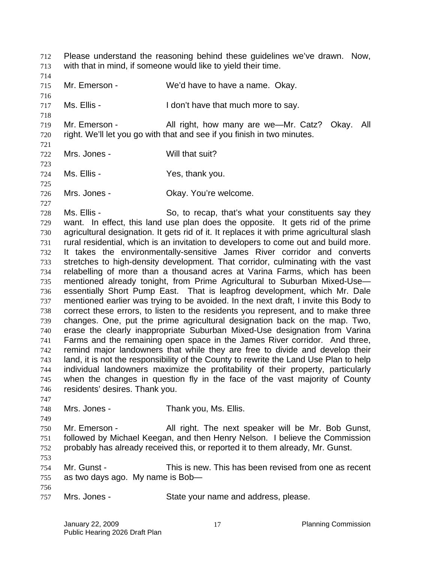with that in mind, if someone would like to yield their time. 713 714 715 716 717 718 719 720 721 722 723 724 725 726 727 728 729 730 731 732 733 734 735 736 737 738 739 740 741 742 743 744 745 746 747 748 749 750 751 752 753 754 755 756 757 Mr. Emerson - We'd have to have a name. Okay. Ms. Ellis - I don't have that much more to say. Mr. Emerson - All right, how many are we—Mr. Catz? Okay. All right. We'll let you go with that and see if you finish in two minutes. Mrs. Jones - Will that suit? Ms. Ellis - Yes, thank you. Mrs. Jones - Chay. You're welcome. Ms. Ellis - So, to recap, that's what your constituents say they want. In effect, this land use plan does the opposite. It gets rid of the prime agricultural designation. It gets rid of it. It replaces it with prime agricultural slash rural residential, which is an invitation to developers to come out and build more. It takes the environmentally-sensitive James River corridor and converts stretches to high-density development. That corridor, culminating with the vast relabelling of more than a thousand acres at Varina Farms, which has been mentioned already tonight, from Prime Agricultural to Suburban Mixed-Use essentially Short Pump East. That is leapfrog development, which Mr. Dale mentioned earlier was trying to be avoided. In the next draft, I invite this Body to correct these errors, to listen to the residents you represent, and to make three changes. One, put the prime agricultural designation back on the map. Two, erase the clearly inappropriate Suburban Mixed-Use designation from Varina Farms and the remaining open space in the James River corridor. And three, remind major landowners that while they are free to divide and develop their land, it is not the responsibility of the County to rewrite the Land Use Plan to help individual landowners maximize the profitability of their property, particularly when the changes in question fly in the face of the vast majority of County residents' desires. Thank you. Mrs. Jones - Thank you, Ms. Ellis. Mr. Emerson - All right. The next speaker will be Mr. Bob Gunst, followed by Michael Keegan, and then Henry Nelson. I believe the Commission probably has already received this, or reported it to them already, Mr. Gunst. Mr. Gunst - This is new. This has been revised from one as recent as two days ago. My name is Bob— Mrs. Jones - State your name and address, please.

Please understand the reasoning behind these guidelines we've drawn. Now,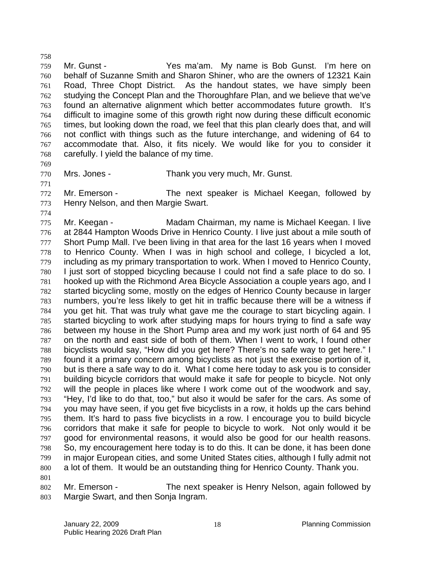759 760 761 762 763 764 765 766 767 768 Mr. Gunst - The State of Yes ma'am. My name is Bob Gunst. I'm here on behalf of Suzanne Smith and Sharon Shiner, who are the owners of 12321 Kain Road, Three Chopt District. As the handout states, we have simply been studying the Concept Plan and the Thoroughfare Plan, and we believe that we've found an alternative alignment which better accommodates future growth. It's difficult to imagine some of this growth right now during these difficult economic times, but looking down the road, we feel that this plan clearly does that, and will not conflict with things such as the future interchange, and widening of 64 to accommodate that. Also, it fits nicely. We would like for you to consider it carefully. I yield the balance of my time.

769

771

758

- 770
- Mrs. Jones Thank you very much, Mr. Gunst.

772 773 Mr. Emerson - The next speaker is Michael Keegan, followed by Henry Nelson, and then Margie Swart.

774

775 776 777 778 779 780 781 782 783 784 785 786 787 788 789 790 791 792 793 794 795 796 797 798 799 800 Mr. Keegan - The Madam Chairman, my name is Michael Keegan. I live at 2844 Hampton Woods Drive in Henrico County. I live just about a mile south of Short Pump Mall. I've been living in that area for the last 16 years when I moved to Henrico County. When I was in high school and college, I bicycled a lot, including as my primary transportation to work. When I moved to Henrico County, I just sort of stopped bicycling because I could not find a safe place to do so. I hooked up with the Richmond Area Bicycle Association a couple years ago, and I started bicycling some, mostly on the edges of Henrico County because in larger numbers, you're less likely to get hit in traffic because there will be a witness if you get hit. That was truly what gave me the courage to start bicycling again. I started bicycling to work after studying maps for hours trying to find a safe way between my house in the Short Pump area and my work just north of 64 and 95 on the north and east side of both of them. When I went to work, I found other bicyclists would say, "How did you get here? There's no safe way to get here." I found it a primary concern among bicyclists as not just the exercise portion of it, but is there a safe way to do it. What I come here today to ask you is to consider building bicycle corridors that would make it safe for people to bicycle. Not only will the people in places like where I work come out of the woodwork and say, "Hey, I'd like to do that, too," but also it would be safer for the cars. As some of you may have seen, if you get five bicyclists in a row, it holds up the cars behind them. It's hard to pass five bicyclists in a row. I encourage you to build bicycle corridors that make it safe for people to bicycle to work. Not only would it be good for environmental reasons, it would also be good for our health reasons. So, my encouragement here today is to do this. It can be done, it has been done in major European cities, and some United States cities, although I fully admit not a lot of them. It would be an outstanding thing for Henrico County. Thank you.

801

802 803 Mr. Emerson - The next speaker is Henry Nelson, again followed by Margie Swart, and then Sonja Ingram.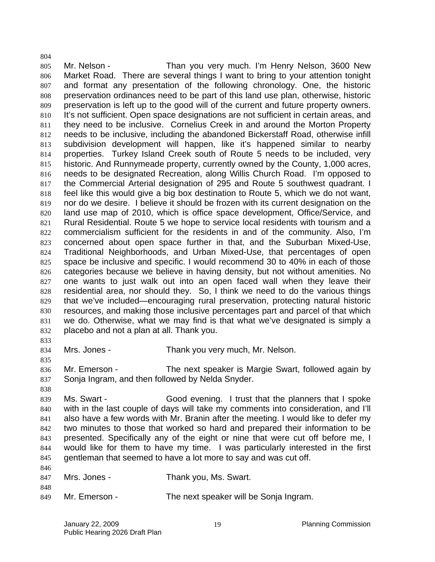805 806 807 808 809 810 811 812 813 814 815 816 817 818 819 820 821 822 823 824 825 826 827 828 829 830 831 832 Mr. Nelson - Than you very much. I'm Henry Nelson, 3600 New Market Road. There are several things I want to bring to your attention tonight and format any presentation of the following chronology. One, the historic preservation ordinances need to be part of this land use plan, otherwise, historic preservation is left up to the good will of the current and future property owners. It's not sufficient. Open space designations are not sufficient in certain areas, and they need to be inclusive. Cornelius Creek in and around the Morton Property needs to be inclusive, including the abandoned Bickerstaff Road, otherwise infill subdivision development will happen, like it's happened similar to nearby properties. Turkey Island Creek south of Route 5 needs to be included, very historic. And Runnymeade property, currently owned by the County, 1,000 acres, needs to be designated Recreation, along Willis Church Road. I'm opposed to the Commercial Arterial designation of 295 and Route 5 southwest quadrant. I feel like this would give a big box destination to Route 5, which we do not want, nor do we desire. I believe it should be frozen with its current designation on the land use map of 2010, which is office space development, Office/Service, and Rural Residential. Route 5 we hope to service local residents with tourism and a commercialism sufficient for the residents in and of the community. Also, I'm concerned about open space further in that, and the Suburban Mixed-Use, Traditional Neighborhoods, and Urban Mixed-Use, that percentages of open space be inclusive and specific. I would recommend 30 to 40% in each of those categories because we believe in having density, but not without amenities. No one wants to just walk out into an open faced wall when they leave their residential area, nor should they. So, I think we need to do the various things that we've included—encouraging rural preservation, protecting natural historic resources, and making those inclusive percentages part and parcel of that which we do. Otherwise, what we may find is that what we've designated is simply a placebo and not a plan at all. Thank you.

833 834

835

804

Mrs. Jones - Thank you very much, Mr. Nelson.

836 837 Mr. Emerson - The next speaker is Margie Swart, followed again by Sonja Ingram, and then followed by Nelda Snyder.

838

846

839 840 841 842 843 844 845 Ms. Swart - Good evening. I trust that the planners that I spoke with in the last couple of days will take my comments into consideration, and I'll also have a few words with Mr. Branin after the meeting. I would like to defer my two minutes to those that worked so hard and prepared their information to be presented. Specifically any of the eight or nine that were cut off before me, I would like for them to have my time. I was particularly interested in the first gentleman that seemed to have a lot more to say and was cut off.

- 847 848 Mrs. Jones - Thank you, Ms. Swart.
- 849 Mr. Emerson - The next speaker will be Sonja Ingram.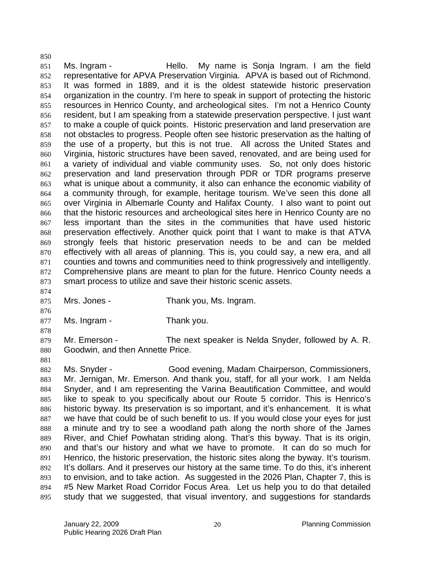851 852 853 854 855 856 857 858 859 860 861 862 863 864 865 866 867 868 869 870 871 872 873 Ms. Ingram - Thello. My name is Sonja Ingram. I am the field representative for APVA Preservation Virginia. APVA is based out of Richmond. It was formed in 1889, and it is the oldest statewide historic preservation organization in the country. I'm here to speak in support of protecting the historic resources in Henrico County, and archeological sites. I'm not a Henrico County resident, but I am speaking from a statewide preservation perspective. I just want to make a couple of quick points. Historic preservation and land preservation are not obstacles to progress. People often see historic preservation as the halting of the use of a property, but this is not true. All across the United States and Virginia, historic structures have been saved, renovated, and are being used for a variety of individual and viable community uses. So, not only does historic preservation and land preservation through PDR or TDR programs preserve what is unique about a community, it also can enhance the economic viability of a community through, for example, heritage tourism. We've seen this done all over Virginia in Albemarle County and Halifax County. I also want to point out that the historic resources and archeological sites here in Henrico County are no less important than the sites in the communities that have used historic preservation effectively. Another quick point that I want to make is that ATVA strongly feels that historic preservation needs to be and can be melded effectively with all areas of planning. This is, you could say, a new era, and all counties and towns and communities need to think progressively and intelligently. Comprehensive plans are meant to plan for the future. Henrico County needs a smart process to utilize and save their historic scenic assets.

- 875 Mrs. Jones - Thank you, Ms. Ingram.
- 877 Ms. Ingram - Thank you.

850

874

876

878

881

879 880 Mr. Emerson - The next speaker is Nelda Snyder, followed by A. R. Goodwin, and then Annette Price.

882 883 884 885 886 887 888 889 890 891 892 893 894 895 Ms. Snyder - Good evening, Madam Chairperson, Commissioners, Mr. Jernigan, Mr. Emerson. And thank you, staff, for all your work. I am Nelda Snyder, and I am representing the Varina Beautification Committee, and would like to speak to you specifically about our Route 5 corridor. This is Henrico's historic byway. Its preservation is so important, and it's enhancement. It is what we have that could be of such benefit to us. If you would close your eyes for just a minute and try to see a woodland path along the north shore of the James River, and Chief Powhatan striding along. That's this byway. That is its origin, and that's our history and what we have to promote. It can do so much for Henrico, the historic preservation, the historic sites along the byway. It's tourism. It's dollars. And it preserves our history at the same time. To do this, it's inherent to envision, and to take action. As suggested in the 2026 Plan, Chapter 7, this is #5 New Market Road Corridor Focus Area. Let us help you to do that detailed study that we suggested, that visual inventory, and suggestions for standards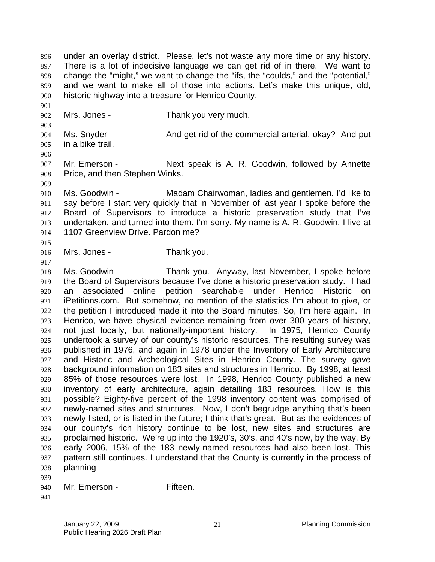under an overlay district. Please, let's not waste any more time or any history. There is a lot of indecisive language we can get rid of in there. We want to change the "might," we want to change the "ifs, the "coulds," and the "potential," and we want to make all of those into actions. Let's make this unique, old, historic highway into a treasure for Henrico County. 896 897 898 899 900

902 Mrs. Jones - Thank you very much.

904 905 Ms. Snyder - And get rid of the commercial arterial, okay? And put in a bike trail.

906

909

901

903

907 908 Mr. Emerson - **Next speak is A. R. Goodwin, followed by Annette** Price, and then Stephen Winks.

910 911 912 913 914 Ms. Goodwin - Madam Chairwoman, ladies and gentlemen. I'd like to say before I start very quickly that in November of last year I spoke before the Board of Supervisors to introduce a historic preservation study that I've undertaken, and turned into them. I'm sorry. My name is A. R. Goodwin. I live at 1107 Greenview Drive. Pardon me?

915

917

916 Mrs. Jones - Thank you.

918 919 920 921 922 923 924 925 926 927 928 929 930 931 932 933 934 935 936 937 938 939 Ms. Goodwin - Thank you. Anyway, last November, I spoke before the Board of Supervisors because I've done a historic preservation study. I had an associated online petition searchable under Henrico Historic on iPetitions.com. But somehow, no mention of the statistics I'm about to give, or the petition I introduced made it into the Board minutes. So, I'm here again. In Henrico, we have physical evidence remaining from over 300 years of history, not just locally, but nationally-important history. In 1975, Henrico County undertook a survey of our county's historic resources. The resulting survey was published in 1976, and again in 1978 under the Inventory of Early Architecture and Historic and Archeological Sites in Henrico County. The survey gave background information on 183 sites and structures in Henrico. By 1998, at least 85% of those resources were lost. In 1998, Henrico County published a new inventory of early architecture, again detailing 183 resources. How is this possible? Eighty-five percent of the 1998 inventory content was comprised of newly-named sites and structures. Now, I don't begrudge anything that's been newly listed, or is listed in the future; I think that's great. But as the evidences of our county's rich history continue to be lost, new sites and structures are proclaimed historic. We're up into the 1920's, 30's, and 40's now, by the way. By early 2006, 15% of the 183 newly-named resources had also been lost. This pattern still continues. I understand that the County is currently in the process of planning—

940 Mr. Emerson - Fifteen.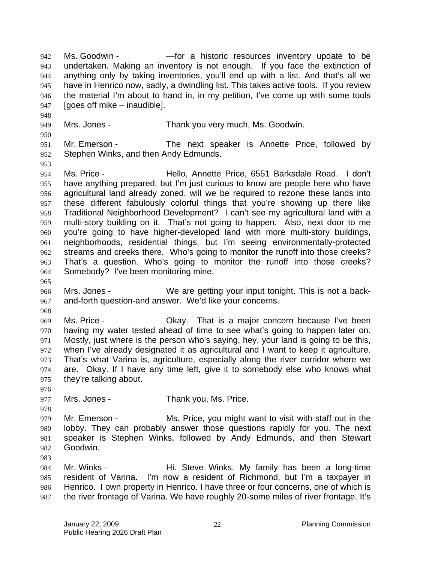Ms. Goodwin - —for a historic resources inventory update to be undertaken. Making an inventory is not enough. If you face the extinction of anything only by taking inventories, you'll end up with a list. And that's all we have in Henrico now, sadly, a dwindling list. This takes active tools. If you review the material I'm about to hand in, in my petition, I've come up with some tools [goes off mike – inaudible]. 942 943 944 945 946 947

- 949 Mrs. Jones - Thank you very much, Ms. Goodwin.
- 951 952 Mr. Emerson - The next speaker is Annette Price, followed by Stephen Winks, and then Andy Edmunds.

954 955 956 957 958 959 960 961 962 963 964 Ms. Price - Hello, Annette Price, 6551 Barksdale Road. I don't have anything prepared, but I'm just curious to know are people here who have agricultural land already zoned, will we be required to rezone these lands into these different fabulously colorful things that you're showing up there like Traditional Neighborhood Development? I can't see my agricultural land with a multi-story building on it. That's not going to happen. Also, next door to me you're going to have higher-developed land with more multi-story buildings, neighborhoods, residential things, but I'm seeing environmentally-protected streams and creeks there. Who's going to monitor the runoff into those creeks? That's a question. Who's going to monitor the runoff into those creeks? Somebody? I've been monitoring mine.

- 966 967 Mrs. Jones - We are getting your input tonight. This is not a backand-forth question-and answer. We'd like your concerns.
- 968

965

948

950

953

969 970 971 972 973 974 975 Ms. Price - That is a major concern because I've been having my water tested ahead of time to see what's going to happen later on. Mostly, just where is the person who's saying, hey, your land is going to be this, when I've already designated it as agricultural and I want to keep it agriculture. That's what Varina is, agriculture, especially along the river corridor where we are. Okay. If I have any time left, give it to somebody else who knows what they're talking about.

976 977

978

Mrs. Jones - Thank you, Ms. Price.

979 980 981 982 Mr. Emerson - Ms. Price, you might want to visit with staff out in the lobby. They can probably answer those questions rapidly for you. The next speaker is Stephen Winks, followed by Andy Edmunds, and then Stewart Goodwin.

983

984 985 986 987 Mr. Winks - Hi. Steve Winks. My family has been a long-time resident of Varina. I'm now a resident of Richmond, but I'm a taxpayer in Henrico. I own property in Henrico. I have three or four concerns, one of which is the river frontage of Varina. We have roughly 20-some miles of river frontage. It's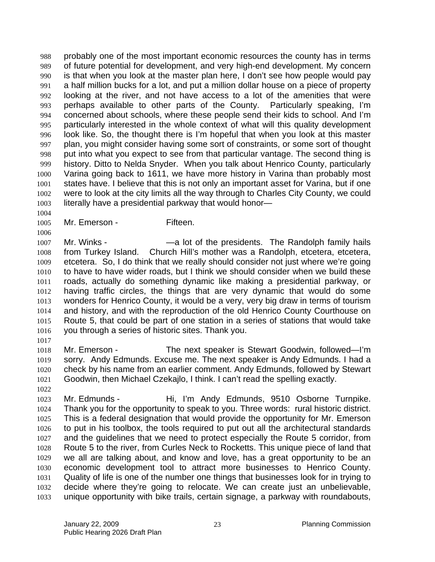probably one of the most important economic resources the county has in terms of future potential for development, and very high-end development. My concern is that when you look at the master plan here, I don't see how people would pay a half million bucks for a lot, and put a million dollar house on a piece of property looking at the river, and not have access to a lot of the amenities that were perhaps available to other parts of the County. Particularly speaking, I'm concerned about schools, where these people send their kids to school. And I'm particularly interested in the whole context of what will this quality development look like. So, the thought there is I'm hopeful that when you look at this master plan, you might consider having some sort of constraints, or some sort of thought put into what you expect to see from that particular vantage. The second thing is history. Ditto to Nelda Snyder. When you talk about Henrico County, particularly Varina going back to 1611, we have more history in Varina than probably most states have. I believe that this is not only an important asset for Varina, but if one were to look at the city limits all the way through to Charles City County, we could literally have a presidential parkway that would honor— 988 989 990 991 992 993 994 995 996 997 998 999 1000 1001 1002 1003

1005 Mr. Emerson - Fifteen.

1006 1007 1008 1009 1010 1011 1012 1013 1014 1015 1016 Mr. Winks - The Controllect - a lot of the presidents. The Randolph family hails from Turkey Island. Church Hill's mother was a Randolph, etcetera, etcetera, etcetera. So, I do think that we really should consider not just where we're going to have to have wider roads, but I think we should consider when we build these roads, actually do something dynamic like making a presidential parkway, or having traffic circles, the things that are very dynamic that would do some wonders for Henrico County, it would be a very, very big draw in terms of tourism and history, and with the reproduction of the old Henrico County Courthouse on Route 5, that could be part of one station in a series of stations that would take you through a series of historic sites. Thank you.

- 1018 1019 1020 1021 Mr. Emerson - The next speaker is Stewart Goodwin, followed-I'm sorry. Andy Edmunds. Excuse me. The next speaker is Andy Edmunds. I had a check by his name from an earlier comment. Andy Edmunds, followed by Stewart Goodwin, then Michael Czekajlo, I think. I can't read the spelling exactly.
- 1022

1017

1004

1023 1024 1025 1026 1027 1028 1029 1030 1031 1032 1033 Mr. Edmunds - Thi, I'm Andy Edmunds, 9510 Osborne Turnpike. Thank you for the opportunity to speak to you. Three words: rural historic district. This is a federal designation that would provide the opportunity for Mr. Emerson to put in his toolbox, the tools required to put out all the architectural standards and the guidelines that we need to protect especially the Route 5 corridor, from Route 5 to the river, from Curles Neck to Rocketts. This unique piece of land that we all are talking about, and know and love, has a great opportunity to be an economic development tool to attract more businesses to Henrico County. Quality of life is one of the number one things that businesses look for in trying to decide where they're going to relocate. We can create just an unbelievable, unique opportunity with bike trails, certain signage, a parkway with roundabouts,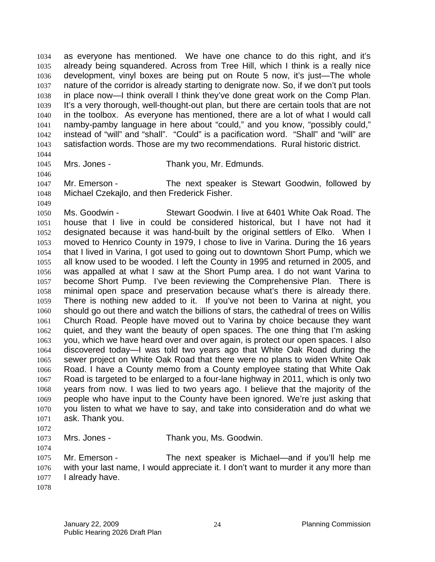as everyone has mentioned. We have one chance to do this right, and it's already being squandered. Across from Tree Hill, which I think is a really nice development, vinyl boxes are being put on Route 5 now, it's just—The whole nature of the corridor is already starting to denigrate now. So, if we don't put tools in place now—I think overall I think they've done great work on the Comp Plan. It's a very thorough, well-thought-out plan, but there are certain tools that are not in the toolbox. As everyone has mentioned, there are a lot of what I would call namby-pamby language in here about "could," and you know, "possibly could," instead of "will" and "shall". "Could" is a pacification word. "Shall" and "will" are satisfaction words. Those are my two recommendations. Rural historic district. 1034 1035 1036 1037 1038 1039 1040 1041 1042 1043

1044 1045

1046

Mrs. Jones - Thank you, Mr. Edmunds.

1047 1048 Mr. Emerson - The next speaker is Stewart Goodwin, followed by Michael Czekajlo, and then Frederick Fisher.

1049 1050 1051 1052 1053 1054 1055 1056 1057 1058 1059 1060 1061 1062 1063 1064 1065 1066 1067 1068 1069 1070 1071 Ms. Goodwin - Stewart Goodwin. I live at 6401 White Oak Road. The house that I live in could be considered historical, but I have not had it designated because it was hand-built by the original settlers of Elko. When I moved to Henrico County in 1979, I chose to live in Varina. During the 16 years that I lived in Varina, I got used to going out to downtown Short Pump, which we all know used to be wooded. I left the County in 1995 and returned in 2005, and was appalled at what I saw at the Short Pump area. I do not want Varina to become Short Pump. I've been reviewing the Comprehensive Plan. There is minimal open space and preservation because what's there is already there. There is nothing new added to it. If you've not been to Varina at night, you should go out there and watch the billions of stars, the cathedral of trees on Willis Church Road. People have moved out to Varina by choice because they want quiet, and they want the beauty of open spaces. The one thing that I'm asking you, which we have heard over and over again, is protect our open spaces. I also discovered today—I was told two years ago that White Oak Road during the sewer project on White Oak Road that there were no plans to widen White Oak Road. I have a County memo from a County employee stating that White Oak Road is targeted to be enlarged to a four-lane highway in 2011, which is only two years from now. I was lied to two years ago. I believe that the majority of the people who have input to the County have been ignored. We're just asking that you listen to what we have to say, and take into consideration and do what we ask. Thank you.

1072

1073

1074

Mrs. Jones - Thank you, Ms. Goodwin.

1075 1076 1077 Mr. Emerson - The next speaker is Michael—and if you'll help me with your last name, I would appreciate it. I don't want to murder it any more than I already have.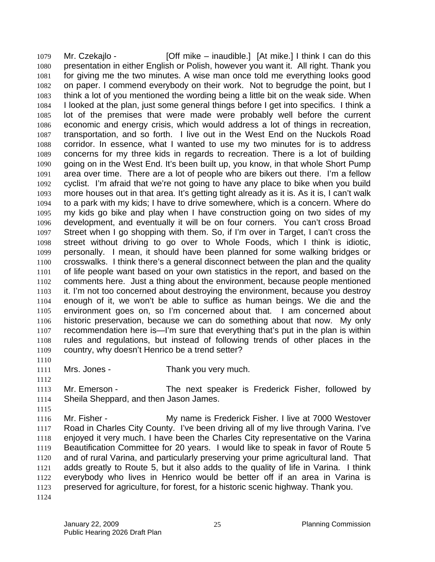Mr. Czekajlo - [Off mike – inaudible.] [At mike.] I think I can do this presentation in either English or Polish, however you want it. All right. Thank you for giving me the two minutes. A wise man once told me everything looks good on paper. I commend everybody on their work. Not to begrudge the point, but I think a lot of you mentioned the wording being a little bit on the weak side. When I looked at the plan, just some general things before I get into specifics. I think a lot of the premises that were made were probably well before the current economic and energy crisis, which would address a lot of things in recreation, transportation, and so forth. I live out in the West End on the Nuckols Road corridor. In essence, what I wanted to use my two minutes for is to address concerns for my three kids in regards to recreation. There is a lot of building going on in the West End. It's been built up, you know, in that whole Short Pump area over time. There are a lot of people who are bikers out there. I'm a fellow cyclist. I'm afraid that we're not going to have any place to bike when you build more houses out in that area. It's getting tight already as it is. As it is, I can't walk to a park with my kids; I have to drive somewhere, which is a concern. Where do my kids go bike and play when I have construction going on two sides of my development, and eventually it will be on four corners. You can't cross Broad Street when I go shopping with them. So, if I'm over in Target, I can't cross the street without driving to go over to Whole Foods, which I think is idiotic, personally. I mean, it should have been planned for some walking bridges or crosswalks. I think there's a general disconnect between the plan and the quality of life people want based on your own statistics in the report, and based on the comments here. Just a thing about the environment, because people mentioned it. I'm not too concerned about destroying the environment, because you destroy enough of it, we won't be able to suffice as human beings. We die and the environment goes on, so I'm concerned about that. I am concerned about historic preservation, because we can do something about that now. My only recommendation here is—I'm sure that everything that's put in the plan is within rules and regulations, but instead of following trends of other places in the country, why doesn't Henrico be a trend setter? 1079 1080 1081 1082 1083 1084 1085 1086 1087 1088 1089 1090 1091 1092 1093 1094 1095 1096 1097 1098 1099 1100 1101 1102 1103 1104 1105 1106 1107 1108 1109

1110

1112

1115

1111 Mrs. Jones - Thank you very much.

1113 1114 Mr. Emerson - The next speaker is Frederick Fisher, followed by Sheila Sheppard, and then Jason James.

1116 1117 1118 1119 1120 1121 1122 1123 Mr. Fisher - My name is Frederick Fisher. I live at 7000 Westover Road in Charles City County. I've been driving all of my live through Varina. I've enjoyed it very much. I have been the Charles City representative on the Varina Beautification Committee for 20 years. I would like to speak in favor of Route 5 and of rural Varina, and particularly preserving your prime agricultural land. That adds greatly to Route 5, but it also adds to the quality of life in Varina. I think everybody who lives in Henrico would be better off if an area in Varina is preserved for agriculture, for forest, for a historic scenic highway. Thank you.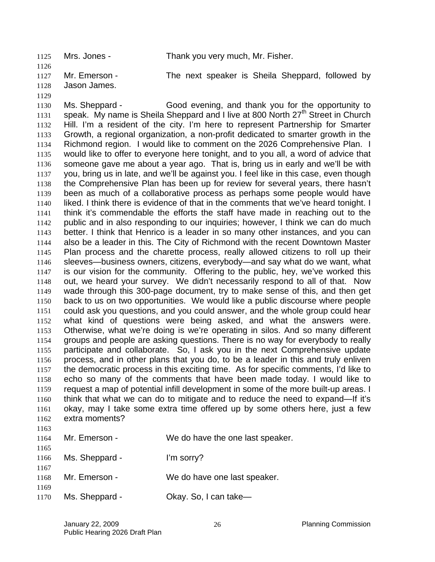1125 Mrs. Jones - Thank you very much, Mr. Fisher. 1126 1127 1128 Mr. Emerson - The next speaker is Sheila Sheppard, followed by Jason James.

1129

1130 1131 1132 1133 1134 1135 1136 1137 1138 1139 1140 1141 1142 1143 1144 1145 1146 1147 1148 1149 1150 1151 1152 1153 1154 1155 1156 1157 1158 1159 1160 1161 1162 1163 Ms. Sheppard - Good evening, and thank you for the opportunity to speak. My name is Sheila Sheppard and I live at 800 North  $27<sup>th</sup>$  Street in Church Hill. I'm a resident of the city. I'm here to represent Partnership for Smarter Growth, a regional organization, a non-profit dedicated to smarter growth in the Richmond region. I would like to comment on the 2026 Comprehensive Plan. I would like to offer to everyone here tonight, and to you all, a word of advice that someone gave me about a year ago. That is, bring us in early and we'll be with you, bring us in late, and we'll be against you. I feel like in this case, even though the Comprehensive Plan has been up for review for several years, there hasn't been as much of a collaborative process as perhaps some people would have liked. I think there is evidence of that in the comments that we've heard tonight. I think it's commendable the efforts the staff have made in reaching out to the public and in also responding to our inquiries; however, I think we can do much better. I think that Henrico is a leader in so many other instances, and you can also be a leader in this. The City of Richmond with the recent Downtown Master Plan process and the charette process, really allowed citizens to roll up their sleeves—business owners, citizens, everybody—and say what do we want, what is our vision for the community. Offering to the public, hey, we've worked this out, we heard your survey. We didn't necessarily respond to all of that. Now wade through this 300-page document, try to make sense of this, and then get back to us on two opportunities. We would like a public discourse where people could ask you questions, and you could answer, and the whole group could hear what kind of questions were being asked, and what the answers were. Otherwise, what we're doing is we're operating in silos. And so many different groups and people are asking questions. There is no way for everybody to really participate and collaborate. So, I ask you in the next Comprehensive update process, and in other plans that you do, to be a leader in this and truly enliven the democratic process in this exciting time. As for specific comments, I'd like to echo so many of the comments that have been made today. I would like to request a map of potential infill development in some of the more built-up areas. I think that what we can do to mitigate and to reduce the need to expand—If it's okay, may I take some extra time offered up by some others here, just a few extra moments?

| 1164 | Mr. Emerson -  | We do have the one last speaker. |
|------|----------------|----------------------------------|
| 1165 |                |                                  |
| 1166 | Ms. Sheppard - | I'm sorry?                       |
| 1167 |                |                                  |
| 1168 | Mr. Emerson -  | We do have one last speaker.     |
| 1169 |                |                                  |
| 1170 | Ms. Sheppard - | Okay. So, I can take-            |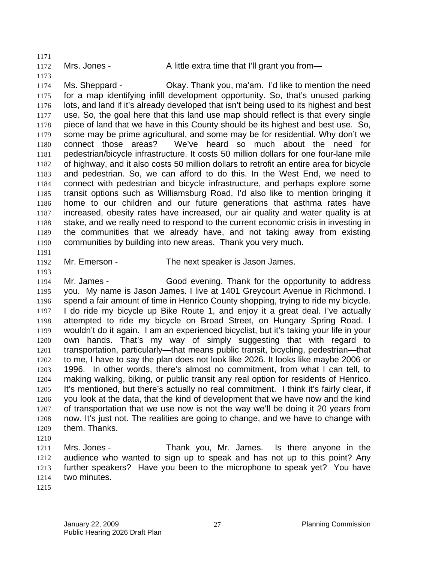1172

1171

1173

Mrs. Jones - A little extra time that I'll grant you from-

1174 1175 1176 1177 1178 1179 1180 1181 1182 1183 1184 1185 1186 1187 1188 1189 1190 Ms. Sheppard - Ckay. Thank you, ma'am. I'd like to mention the need for a map identifying infill development opportunity. So, that's unused parking lots, and land if it's already developed that isn't being used to its highest and best use. So, the goal here that this land use map should reflect is that every single piece of land that we have in this County should be its highest and best use. So, some may be prime agricultural, and some may be for residential. Why don't we connect those areas? We've heard so much about the need for pedestrian/bicycle infrastructure. It costs 50 million dollars for one four-lane mile of highway, and it also costs 50 million dollars to retrofit an entire area for bicycle and pedestrian. So, we can afford to do this. In the West End, we need to connect with pedestrian and bicycle infrastructure, and perhaps explore some transit options such as Williamsburg Road. I'd also like to mention bringing it home to our children and our future generations that asthma rates have increased, obesity rates have increased, our air quality and water quality is at stake, and we really need to respond to the current economic crisis in investing in the communities that we already have, and not taking away from existing communities by building into new areas. Thank you very much.

1191

1193

1192 Mr. Emerson - The next speaker is Jason James.

1194 1195 1196 1197 1198 1199 1200 1201 1202 1203 1204 1205 1206 1207 1208 1209 Mr. James - Good evening. Thank for the opportunity to address you. My name is Jason James. I live at 1401 Greycourt Avenue in Richmond. I spend a fair amount of time in Henrico County shopping, trying to ride my bicycle. I do ride my bicycle up Bike Route 1, and enjoy it a great deal. I've actually attempted to ride my bicycle on Broad Street, on Hungary Spring Road. I wouldn't do it again. I am an experienced bicyclist, but it's taking your life in your own hands. That's my way of simply suggesting that with regard to transportation, particularly—that means public transit, bicycling, pedestrian—that to me, I have to say the plan does not look like 2026. It looks like maybe 2006 or 1996. In other words, there's almost no commitment, from what I can tell, to making walking, biking, or public transit any real option for residents of Henrico. It's mentioned, but there's actually no real commitment. I think it's fairly clear, if you look at the data, that the kind of development that we have now and the kind of transportation that we use now is not the way we'll be doing it 20 years from now. It's just not. The realities are going to change, and we have to change with them. Thanks.

1210

1211 1212 1213 1214 Mrs. Jones - Thank you, Mr. James. Is there anyone in the audience who wanted to sign up to speak and has not up to this point? Any further speakers? Have you been to the microphone to speak yet? You have two minutes.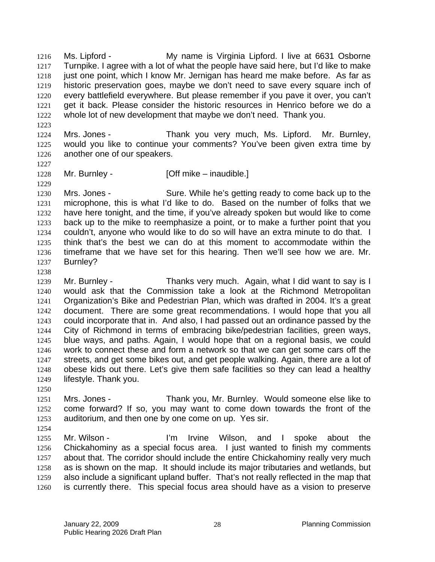Ms. Lipford - My name is Virginia Lipford. I live at 6631 Osborne Turnpike. I agree with a lot of what the people have said here, but I'd like to make just one point, which I know Mr. Jernigan has heard me make before. As far as historic preservation goes, maybe we don't need to save every square inch of every battlefield everywhere. But please remember if you pave it over, you can't get it back. Please consider the historic resources in Henrico before we do a whole lot of new development that maybe we don't need. Thank you. 1216 1217 1218 1219 1220 1221 1222

1224 1225 1226 Mrs. Jones - Thank you very much, Ms. Lipford. Mr. Burnley, would you like to continue your comments? You've been given extra time by another one of our speakers.

1227 1228

1229

1223

Mr. Burnley - [Off mike – inaudible.]

1230 1231 1232 1233 1234 1235 1236 1237 Mrs. Jones - Sure. While he's getting ready to come back up to the microphone, this is what I'd like to do. Based on the number of folks that we have here tonight, and the time, if you've already spoken but would like to come back up to the mike to reemphasize a point, or to make a further point that you couldn't, anyone who would like to do so will have an extra minute to do that. I think that's the best we can do at this moment to accommodate within the timeframe that we have set for this hearing. Then we'll see how we are. Mr. Burnley?

1238

1239 1240 1241 1242 1243 1244 1245 1246 1247 1248 1249 Mr. Burnley - Thanks very much. Again, what I did want to say is I would ask that the Commission take a look at the Richmond Metropolitan Organization's Bike and Pedestrian Plan, which was drafted in 2004. It's a great document. There are some great recommendations. I would hope that you all could incorporate that in. And also, I had passed out an ordinance passed by the City of Richmond in terms of embracing bike/pedestrian facilities, green ways, blue ways, and paths. Again, I would hope that on a regional basis, we could work to connect these and form a network so that we can get some cars off the streets, and get some bikes out, and get people walking. Again, there are a lot of obese kids out there. Let's give them safe facilities so they can lead a healthy lifestyle. Thank you.

1250

1251 1252 1253 Mrs. Jones - Thank you, Mr. Burnley. Would someone else like to come forward? If so, you may want to come down towards the front of the auditorium, and then one by one come on up. Yes sir.

1254

1255 1256 1257 1258 1259 1260 Mr. Wilson - I'm Irvine Wilson, and I spoke about the Chickahominy as a special focus area. I just wanted to finish my comments about that. The corridor should include the entire Chickahominy really very much as is shown on the map. It should include its major tributaries and wetlands, but also include a significant upland buffer. That's not really reflected in the map that is currently there. This special focus area should have as a vision to preserve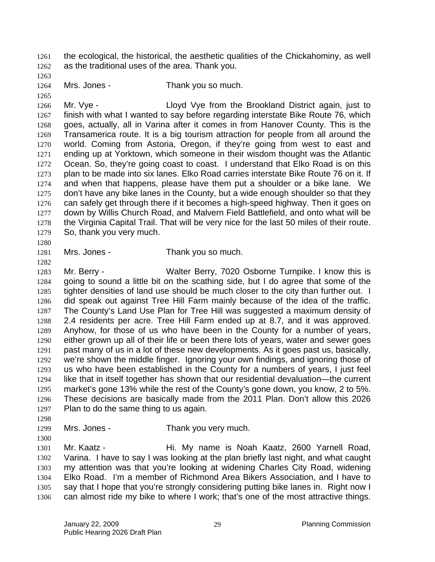the ecological, the historical, the aesthetic qualities of the Chickahominy, as well as the traditional uses of the area. Thank you. 1261 1262

1263

1265

1264 Mrs. Jones - Thank you so much.

1266 1267 1268 1269 1270 1271 1272 1273 1274 1275 1276 1277 1278 1279 Mr. Vye - The Lloyd Vye from the Brookland District again, just to finish with what I wanted to say before regarding interstate Bike Route 76, which goes, actually, all in Varina after it comes in from Hanover County. This is the Transamerica route. It is a big tourism attraction for people from all around the world. Coming from Astoria, Oregon, if they're going from west to east and ending up at Yorktown, which someone in their wisdom thought was the Atlantic Ocean. So, they're going coast to coast. I understand that Elko Road is on this plan to be made into six lanes. Elko Road carries interstate Bike Route 76 on it. If and when that happens, please have them put a shoulder or a bike lane. We don't have any bike lanes in the County, but a wide enough shoulder so that they can safely get through there if it becomes a high-speed highway. Then it goes on down by Willis Church Road, and Malvern Field Battlefield, and onto what will be the Virginia Capital Trail. That will be very nice for the last 50 miles of their route. So, thank you very much.

1280

1282

1281

Mrs. Jones - Thank you so much.

1283 1284 1285 1286 1287 1288 1289 1290 1291 1292 1293 1294 1295 1296 1297 Mr. Berry - Walter Berry, 7020 Osborne Turnpike. I know this is going to sound a little bit on the scathing side, but I do agree that some of the tighter densities of land use should be much closer to the city than further out. I did speak out against Tree Hill Farm mainly because of the idea of the traffic. The County's Land Use Plan for Tree Hill was suggested a maximum density of 2.4 residents per acre. Tree Hill Farm ended up at 8.7, and it was approved. Anyhow, for those of us who have been in the County for a number of years, either grown up all of their life or been there lots of years, water and sewer goes past many of us in a lot of these new developments. As it goes past us, basically, we're shown the middle finger. Ignoring your own findings, and ignoring those of us who have been established in the County for a numbers of years, I just feel like that in itself together has shown that our residential devaluation—the current market's gone 13% while the rest of the County's gone down, you know, 2 to 5%. These decisions are basically made from the 2011 Plan. Don't allow this 2026 Plan to do the same thing to us again.

1298

1300

1299 Mrs. Jones - Thank you very much.

1301 1302 1303 1304 1305 1306 Mr. Kaatz - Hi. My name is Noah Kaatz, 2600 Yarnell Road, Varina. I have to say I was looking at the plan briefly last night, and what caught my attention was that you're looking at widening Charles City Road, widening Elko Road. I'm a member of Richmond Area Bikers Association, and I have to say that I hope that you're strongly considering putting bike lanes in. Right now I can almost ride my bike to where I work; that's one of the most attractive things.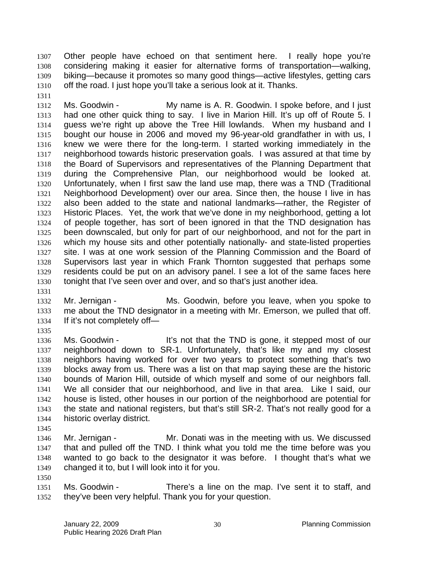Other people have echoed on that sentiment here. I really hope you're considering making it easier for alternative forms of transportation—walking, biking—because it promotes so many good things—active lifestyles, getting cars off the road. I just hope you'll take a serious look at it. Thanks. 1307 1308 1309 1310

1312 1313 1314 1315 1316 1317 1318 1319 1320 1321 1322 1323 1324 1325 1326 1327 1328 1329 1330 Ms. Goodwin - My name is A. R. Goodwin. I spoke before, and I just had one other quick thing to say. I live in Marion Hill. It's up off of Route 5. I guess we're right up above the Tree Hill lowlands. When my husband and I bought our house in 2006 and moved my 96-year-old grandfather in with us, I knew we were there for the long-term. I started working immediately in the neighborhood towards historic preservation goals. I was assured at that time by the Board of Supervisors and representatives of the Planning Department that during the Comprehensive Plan, our neighborhood would be looked at. Unfortunately, when I first saw the land use map, there was a TND (Traditional Neighborhood Development) over our area. Since then, the house I live in has also been added to the state and national landmarks—rather, the Register of Historic Places. Yet, the work that we've done in my neighborhood, getting a lot of people together, has sort of been ignored in that the TND designation has been downscaled, but only for part of our neighborhood, and not for the part in which my house sits and other potentially nationally- and state-listed properties site. I was at one work session of the Planning Commission and the Board of Supervisors last year in which Frank Thornton suggested that perhaps some residents could be put on an advisory panel. I see a lot of the same faces here tonight that I've seen over and over, and so that's just another idea.

1331

1311

1332 1333 1334 Mr. Jernigan - Ms. Goodwin, before you leave, when you spoke to me about the TND designator in a meeting with Mr. Emerson, we pulled that off. If it's not completely off—

1335

1336 1337 1338 1339 1340 1341 1342 1343 1344 Ms. Goodwin - It's not that the TND is gone, it stepped most of our neighborhood down to SR-1. Unfortunately, that's like my and my closest neighbors having worked for over two years to protect something that's two blocks away from us. There was a list on that map saying these are the historic bounds of Marion Hill, outside of which myself and some of our neighbors fall. We all consider that our neighborhood, and live in that area. Like I said, our house is listed, other houses in our portion of the neighborhood are potential for the state and national registers, but that's still SR-2. That's not really good for a historic overlay district.

1345

1350

1346 1347 1348 1349 Mr. Jernigan - The Mr. Donati was in the meeting with us. We discussed that and pulled off the TND. I think what you told me the time before was you wanted to go back to the designator it was before. I thought that's what we changed it to, but I will look into it for you.

1351 1352 Ms. Goodwin - There's a line on the map. I've sent it to staff, and they've been very helpful. Thank you for your question.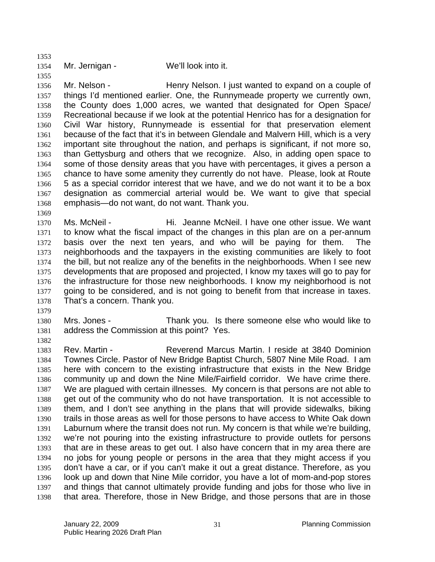1354

1353

1355

1356 1357 1358 1359 1360 1361 1362 1363 1364 1365 1366 1367 1368 Mr. Nelson - Thenry Nelson. I just wanted to expand on a couple of things I'd mentioned earlier. One, the Runnymeade property we currently own, the County does 1,000 acres, we wanted that designated for Open Space/ Recreational because if we look at the potential Henrico has for a designation for Civil War history, Runnymeade is essential for that preservation element because of the fact that it's in between Glendale and Malvern Hill, which is a very important site throughout the nation, and perhaps is significant, if not more so, than Gettysburg and others that we recognize. Also, in adding open space to some of those density areas that you have with percentages, it gives a person a chance to have some amenity they currently do not have. Please, look at Route 5 as a special corridor interest that we have, and we do not want it to be a box designation as commercial arterial would be. We want to give that special emphasis—do not want, do not want. Thank you.

1370 1371 1372 1373 1374 1375 1376 1377 1378 Ms. McNeil - Hi. Jeanne McNeil. I have one other issue. We want to know what the fiscal impact of the changes in this plan are on a per-annum basis over the next ten years, and who will be paying for them. The neighborhoods and the taxpayers in the existing communities are likely to foot the bill, but not realize any of the benefits in the neighborhoods. When I see new developments that are proposed and projected, I know my taxes will go to pay for the infrastructure for those new neighborhoods. I know my neighborhood is not going to be considered, and is not going to benefit from that increase in taxes. That's a concern. Thank you.

1379

1369

1380 1381 1382 Mrs. Jones - Thank you. Is there someone else who would like to address the Commission at this point? Yes.

1383 1384 1385 1386 1387 1388 1389 1390 1391 1392 1393 1394 1395 1396 1397 1398 Rev. Martin - Reverend Marcus Martin. I reside at 3840 Dominion Townes Circle. Pastor of New Bridge Baptist Church, 5807 Nine Mile Road. I am here with concern to the existing infrastructure that exists in the New Bridge community up and down the Nine Mile/Fairfield corridor. We have crime there. We are plagued with certain illnesses. My concern is that persons are not able to get out of the community who do not have transportation. It is not accessible to them, and I don't see anything in the plans that will provide sidewalks, biking trails in those areas as well for those persons to have access to White Oak down Laburnum where the transit does not run. My concern is that while we're building, we're not pouring into the existing infrastructure to provide outlets for persons that are in these areas to get out. I also have concern that in my area there are no jobs for young people or persons in the area that they might access if you don't have a car, or if you can't make it out a great distance. Therefore, as you look up and down that Nine Mile corridor, you have a lot of mom-and-pop stores and things that cannot ultimately provide funding and jobs for those who live in that area. Therefore, those in New Bridge, and those persons that are in those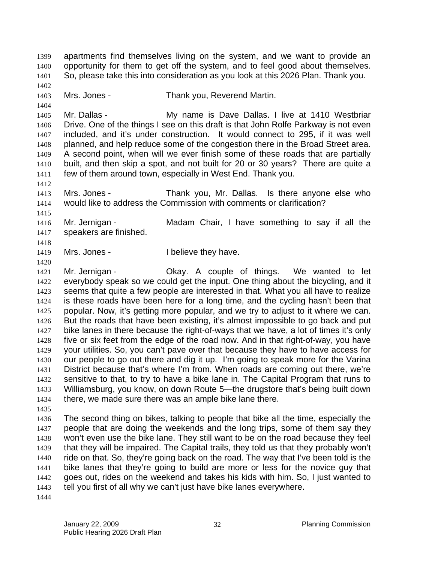apartments find themselves living on the system, and we want to provide an opportunity for them to get off the system, and to feel good about themselves. So, please take this into consideration as you look at this 2026 Plan. Thank you. 1399 1400 1401 1402

1403 Mrs. Jones - Thank you, Reverend Martin.

1405 1406 1407 1408 1409 1410 1411 Mr. Dallas - My name is Dave Dallas. I live at 1410 Westbriar Drive. One of the things I see on this draft is that John Rolfe Parkway is not even included, and it's under construction. It would connect to 295, if it was well planned, and help reduce some of the congestion there in the Broad Street area. A second point, when will we ever finish some of these roads that are partially built, and then skip a spot, and not built for 20 or 30 years? There are quite a few of them around town, especially in West End. Thank you.

1413 1414 Mrs. Jones - Thank you, Mr. Dallas. Is there anyone else who would like to address the Commission with comments or clarification?

1416 1417 Mr. Jernigan - The Madam Chair, I have something to say if all the speakers are finished.

1419 Mrs. Jones - The I believe they have.

1421 1422 1423 1424 1425 1426 1427 1428 1429 1430 1431 1432 1433 1434 Mr. Jernigan - Okay. A couple of things. We wanted to let everybody speak so we could get the input. One thing about the bicycling, and it seems that quite a few people are interested in that. What you all have to realize is these roads have been here for a long time, and the cycling hasn't been that popular. Now, it's getting more popular, and we try to adjust to it where we can. But the roads that have been existing, it's almost impossible to go back and put bike lanes in there because the right-of-ways that we have, a lot of times it's only five or six feet from the edge of the road now. And in that right-of-way, you have your utilities. So, you can't pave over that because they have to have access for our people to go out there and dig it up. I'm going to speak more for the Varina District because that's where I'm from. When roads are coming out there, we're sensitive to that, to try to have a bike lane in. The Capital Program that runs to Williamsburg, you know, on down Route 5—the drugstore that's being built down there, we made sure there was an ample bike lane there.

1435

1404

1412

1415

1418

1420

1436 1437 1438 1439 1440 1441 1442 1443 The second thing on bikes, talking to people that bike all the time, especially the people that are doing the weekends and the long trips, some of them say they won't even use the bike lane. They still want to be on the road because they feel that they will be impaired. The Capital trails, they told us that they probably won't ride on that. So, they're going back on the road. The way that I've been told is the bike lanes that they're going to build are more or less for the novice guy that goes out, rides on the weekend and takes his kids with him. So, I just wanted to tell you first of all why we can't just have bike lanes everywhere.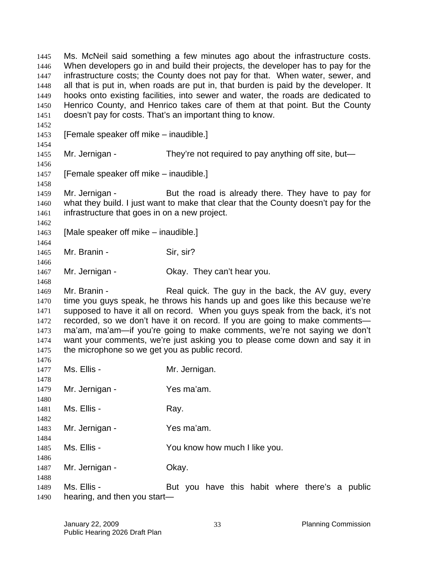Ms. McNeil said something a few minutes ago about the infrastructure costs. When developers go in and build their projects, the developer has to pay for the infrastructure costs; the County does not pay for that. When water, sewer, and all that is put in, when roads are put in, that burden is paid by the developer. It hooks onto existing facilities, into sewer and water, the roads are dedicated to Henrico County, and Henrico takes care of them at that point. But the County doesn't pay for costs. That's an important thing to know. 1445 1446 1447 1448 1449 1450 1451 1452 1453 1454 1455 1456 1457 1458 1459 1460 1461 1462 1463 1464 1465 1466 1467 1468 1469 1470 1471 1472 1473 1474 1475 1476 1477 1478 1479 1480 1481 1482 1483 1484 1485 1486 1487 1488 1489 1490 [Female speaker off mike – inaudible.] Mr. Jernigan - They're not required to pay anything off site, but— [Female speaker off mike – inaudible.] Mr. Jernigan - But the road is already there. They have to pay for what they build. I just want to make that clear that the County doesn't pay for the infrastructure that goes in on a new project. [Male speaker off mike – inaudible.] Mr. Branin - Sir, sir? Mr. Jernigan - Ckay. They can't hear you. Mr. Branin - Real quick. The guy in the back, the AV guy, every time you guys speak, he throws his hands up and goes like this because we're supposed to have it all on record. When you guys speak from the back, it's not recorded, so we don't have it on record. If you are going to make comments ma'am, ma'am—if you're going to make comments, we're not saying we don't want your comments, we're just asking you to please come down and say it in the microphone so we get you as public record. Ms. Ellis - Mr. Jernigan. Mr. Jernigan - Yes ma'am. Ms. Ellis - The Ray. Mr. Jernigan - Yes ma'am. Ms. Ellis - The Soult Know how much I like you. Mr. Jernigan - Ckay. Ms. Ellis - The But you have this habit where there's a public hearing, and then you start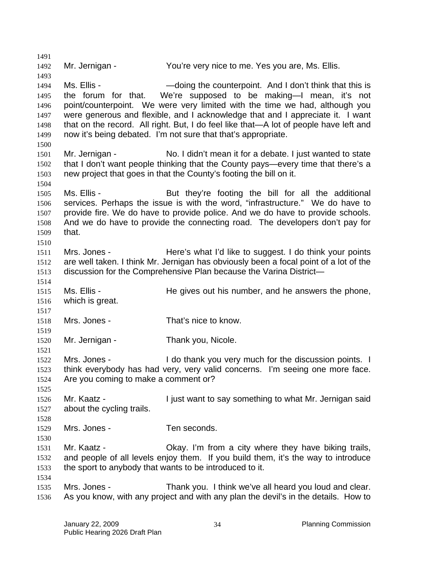1491 1492 1493 1494 1495 1496 1497 1498 1499 1500 1501 1502 1503 1504 1505 1506 1507 1508 1509 1510 1511 1512 1513 1514 1515 1516 1517 1518 1519 1520 1521 1522 1523 1524 1525 1526 1527 1528 1529 1530 1531 1532 1533 1534 1535 1536 Mr. Jernigan - You're very nice to me. Yes you are, Ms. Ellis. Ms. Ellis - This is the counterpoint. And I don't think that this is the forum for that. We're supposed to be making—I mean, it's not point/counterpoint. We were very limited with the time we had, although you were generous and flexible, and I acknowledge that and I appreciate it. I want that on the record. All right. But, I do feel like that—A lot of people have left and now it's being debated. I'm not sure that that's appropriate. Mr. Jernigan - No. I didn't mean it for a debate. I just wanted to state that I don't want people thinking that the County pays—every time that there's a new project that goes in that the County's footing the bill on it. Ms. Ellis - But they're footing the bill for all the additional services. Perhaps the issue is with the word, "infrastructure." We do have to provide fire. We do have to provide police. And we do have to provide schools. And we do have to provide the connecting road. The developers don't pay for that. Mrs. Jones - Here's what I'd like to suggest. I do think your points are well taken. I think Mr. Jernigan has obviously been a focal point of a lot of the discussion for the Comprehensive Plan because the Varina District— Ms. Ellis - He gives out his number, and he answers the phone, which is great. Mrs. Jones - That's nice to know. Mr. Jernigan - Thank you, Nicole. Mrs. Jones - The U do thank you very much for the discussion points. I think everybody has had very, very valid concerns. I'm seeing one more face. Are you coming to make a comment or? Mr. Kaatz - **I** just want to say something to what Mr. Jernigan said about the cycling trails. Mrs. Jones - Ten seconds. Mr. Kaatz - Okay. I'm from a city where they have biking trails, and people of all levels enjoy them. If you build them, it's the way to introduce the sport to anybody that wants to be introduced to it. Mrs. Jones - Thank you. I think we've all heard you loud and clear. As you know, with any project and with any plan the devil's in the details. How to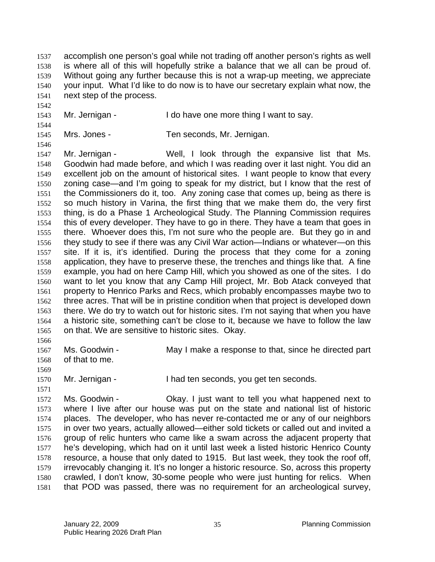accomplish one person's goal while not trading off another person's rights as well is where all of this will hopefully strike a balance that we all can be proud of. Without going any further because this is not a wrap-up meeting, we appreciate your input. What I'd like to do now is to have our secretary explain what now, the next step of the process. 1537 1538 1539 1540 1541

- 1542
- 1543 1544

1546

- Mr. Jernigan The Muslim Collection of the U want to say.
- 1545 Mrs. Jones - Ten seconds, Mr. Jernigan.

1547 1548 1549 1550 1551 1552 1553 1554 1555 1556 1557 1558 1559 1560 1561 1562 1563 1564 1565 1566 Mr. Jernigan - Well, I look through the expansive list that Ms. Goodwin had made before, and which I was reading over it last night. You did an excellent job on the amount of historical sites. I want people to know that every zoning case—and I'm going to speak for my district, but I know that the rest of the Commissioners do it, too. Any zoning case that comes up, being as there is so much history in Varina, the first thing that we make them do, the very first thing, is do a Phase 1 Archeological Study. The Planning Commission requires this of every developer. They have to go in there. They have a team that goes in there. Whoever does this, I'm not sure who the people are. But they go in and they study to see if there was any Civil War action—Indians or whatever—on this site. If it is, it's identified. During the process that they come for a zoning application, they have to preserve these, the trenches and things like that. A fine example, you had on here Camp Hill, which you showed as one of the sites. I do want to let you know that any Camp Hill project, Mr. Bob Atack conveyed that property to Henrico Parks and Recs, which probably encompasses maybe two to three acres. That will be in pristine condition when that project is developed down there. We do try to watch out for historic sites. I'm not saying that when you have a historic site, something can't be close to it, because we have to follow the law on that. We are sensitive to historic sites. Okay.

- 1567 1568 Ms. Goodwin - May I make a response to that, since he directed part of that to me.
- 1569
- 1570 1571

Mr. Jernigan - Thad ten seconds, you get ten seconds.

1572 1573 1574 1575 1576 1577 1578 1579 1580 1581 Ms. Goodwin - Okay. I just want to tell you what happened next to where I live after our house was put on the state and national list of historic places. The developer, who has never re-contacted me or any of our neighbors in over two years, actually allowed—either sold tickets or called out and invited a group of relic hunters who came like a swam across the adjacent property that he's developing, which had on it until last week a listed historic Henrico County resource, a house that only dated to 1915. But last week, they took the roof off, irrevocably changing it. It's no longer a historic resource. So, across this property crawled, I don't know, 30-some people who were just hunting for relics. When that POD was passed, there was no requirement for an archeological survey,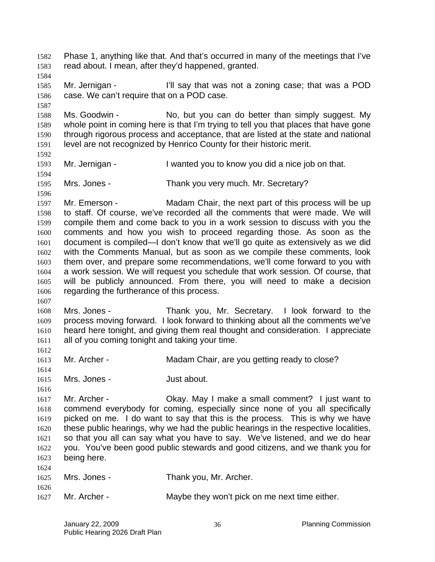Phase 1, anything like that. And that's occurred in many of the meetings that I've read about. I mean, after they'd happened, granted. 1582 1583 1584 1585 1586 1587 1588 1589 1590 1591 1592 1593 1594 1595 1596 1597 1598 1599 1600 1601 1602 1603 1604 1605 1606 1607 1608 1609 1610 1611 1612 1613 1614 1615 1616 1617 1618 1619 1620 1621 1622 1623 1624 1625 1626 1627 Mr. Jernigan - I'll say that was not a zoning case; that was a POD case. We can't require that on a POD case. Ms. Goodwin - No, but you can do better than simply suggest. My whole point in coming here is that I'm trying to tell you that places that have gone through rigorous process and acceptance, that are listed at the state and national level are not recognized by Henrico County for their historic merit. Mr. Jernigan - I wanted you to know you did a nice job on that. Mrs. Jones - Thank you very much. Mr. Secretary? Mr. Emerson - Madam Chair, the next part of this process will be up to staff. Of course, we've recorded all the comments that were made. We will compile them and come back to you in a work session to discuss with you the comments and how you wish to proceed regarding those. As soon as the document is compiled—I don't know that we'll go quite as extensively as we did with the Comments Manual, but as soon as we compile these comments, look them over, and prepare some recommendations, we'll come forward to you with a work session. We will request you schedule that work session. Of course, that will be publicly announced. From there, you will need to make a decision regarding the furtherance of this process. Mrs. Jones - Thank you, Mr. Secretary. I look forward to the process moving forward. I look forward to thinking about all the comments we've heard here tonight, and giving them real thought and consideration. I appreciate all of you coming tonight and taking your time. Mr. Archer - **Madam Chair, are you getting ready to close?** Mrs. Jones - The South Just about. Mr. Archer - Okay. May I make a small comment? I just want to commend everybody for coming, especially since none of you all specifically picked on me. I do want to say that this is the process. This is why we have these public hearings, why we had the public hearings in the respective localities, so that you all can say what you have to say. We've listened, and we do hear you. You've been good public stewards and good citizens, and we thank you for being here. Mrs. Jones - Thank you, Mr. Archer. Mr. Archer - Maybe they won't pick on me next time either.